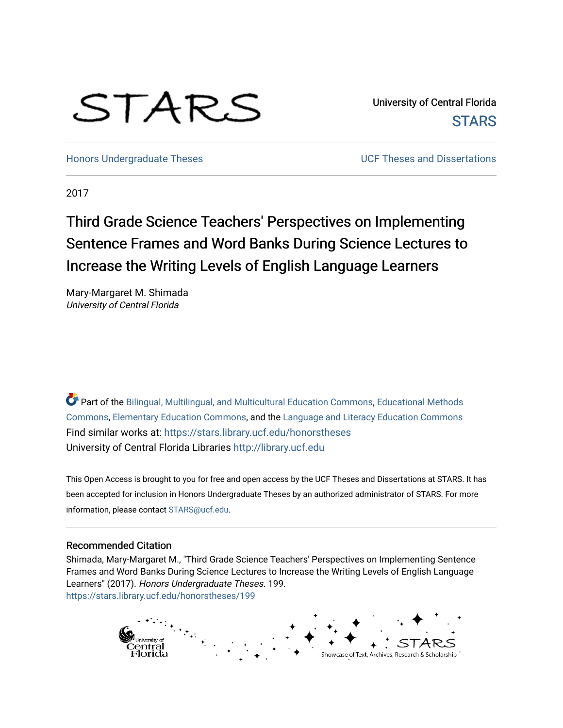# STARS

University of Central Florida **STARS** 

[Honors Undergraduate Theses](https://stars.library.ucf.edu/honorstheses) **No. 2018** UCF Theses and Dissertations

2017

# Third Grade Science Teachers' Perspectives on Implementing Sentence Frames and Word Banks During Science Lectures to Increase the Writing Levels of English Language Learners

Mary-Margaret M. Shimada University of Central Florida

Part of the [Bilingual, Multilingual, and Multicultural Education Commons,](http://network.bepress.com/hgg/discipline/785?utm_source=stars.library.ucf.edu%2Fhonorstheses%2F199&utm_medium=PDF&utm_campaign=PDFCoverPages) [Educational Methods](http://network.bepress.com/hgg/discipline/1227?utm_source=stars.library.ucf.edu%2Fhonorstheses%2F199&utm_medium=PDF&utm_campaign=PDFCoverPages)  [Commons](http://network.bepress.com/hgg/discipline/1227?utm_source=stars.library.ucf.edu%2Fhonorstheses%2F199&utm_medium=PDF&utm_campaign=PDFCoverPages), [Elementary Education Commons,](http://network.bepress.com/hgg/discipline/1378?utm_source=stars.library.ucf.edu%2Fhonorstheses%2F199&utm_medium=PDF&utm_campaign=PDFCoverPages) and the [Language and Literacy Education Commons](http://network.bepress.com/hgg/discipline/1380?utm_source=stars.library.ucf.edu%2Fhonorstheses%2F199&utm_medium=PDF&utm_campaign=PDFCoverPages)  Find similar works at: <https://stars.library.ucf.edu/honorstheses> University of Central Florida Libraries [http://library.ucf.edu](http://library.ucf.edu/) 

This Open Access is brought to you for free and open access by the UCF Theses and Dissertations at STARS. It has been accepted for inclusion in Honors Undergraduate Theses by an authorized administrator of STARS. For more information, please contact [STARS@ucf.edu.](mailto:STARS@ucf.edu)

## Recommended Citation

Shimada, Mary-Margaret M., "Third Grade Science Teachers' Perspectives on Implementing Sentence Frames and Word Banks During Science Lectures to Increase the Writing Levels of English Language Learners" (2017). Honors Undergraduate Theses. 199. [https://stars.library.ucf.edu/honorstheses/199](https://stars.library.ucf.edu/honorstheses/199?utm_source=stars.library.ucf.edu%2Fhonorstheses%2F199&utm_medium=PDF&utm_campaign=PDFCoverPages) 

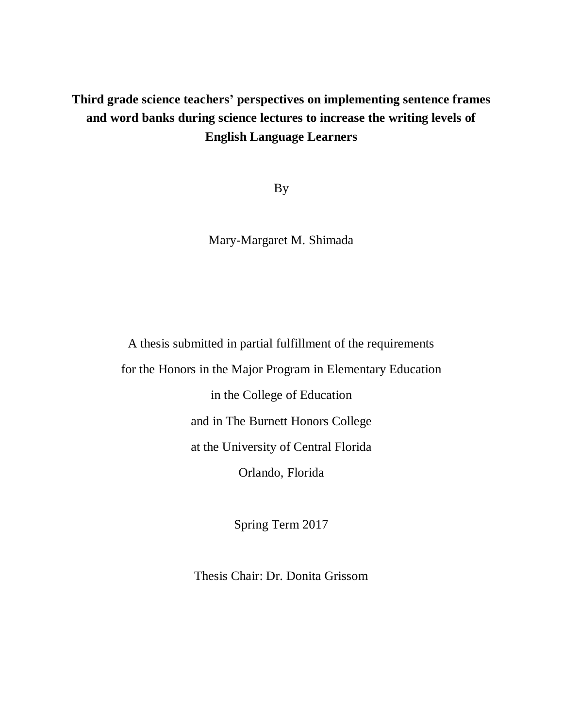## **Third grade science teachers' perspectives on implementing sentence frames and word banks during science lectures to increase the writing levels of English Language Learners**

By

Mary-Margaret M. Shimada

A thesis submitted in partial fulfillment of the requirements for the Honors in the Major Program in Elementary Education in the College of Education and in The Burnett Honors College at the University of Central Florida Orlando, Florida

Spring Term 2017

Thesis Chair: Dr. Donita Grissom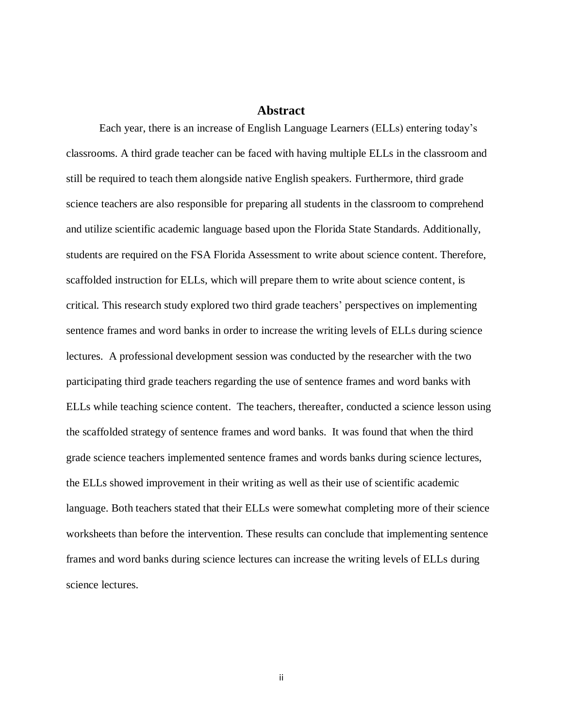## **Abstract**

<span id="page-2-0"></span>Each year, there is an increase of English Language Learners (ELLs) entering today's classrooms. A third grade teacher can be faced with having multiple ELLs in the classroom and still be required to teach them alongside native English speakers. Furthermore, third grade science teachers are also responsible for preparing all students in the classroom to comprehend and utilize scientific academic language based upon the Florida State Standards. Additionally, students are required on the FSA Florida Assessment to write about science content. Therefore, scaffolded instruction for ELLs, which will prepare them to write about science content, is critical. This research study explored two third grade teachers' perspectives on implementing sentence frames and word banks in order to increase the writing levels of ELLs during science lectures. A professional development session was conducted by the researcher with the two participating third grade teachers regarding the use of sentence frames and word banks with ELLs while teaching science content. The teachers, thereafter, conducted a science lesson using the scaffolded strategy of sentence frames and word banks. It was found that when the third grade science teachers implemented sentence frames and words banks during science lectures, the ELLs showed improvement in their writing as well as their use of scientific academic language. Both teachers stated that their ELLs were somewhat completing more of their science worksheets than before the intervention. These results can conclude that implementing sentence frames and word banks during science lectures can increase the writing levels of ELLs during science lectures.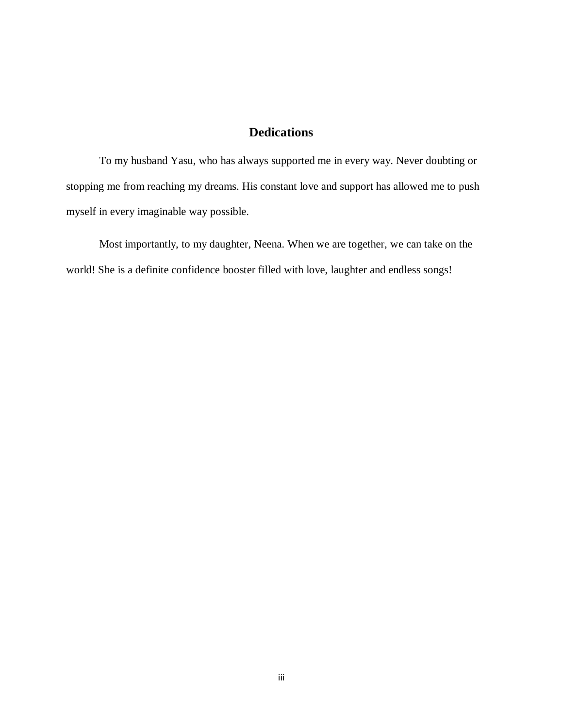## **Dedications**

<span id="page-3-0"></span>To my husband Yasu, who has always supported me in every way. Never doubting or stopping me from reaching my dreams. His constant love and support has allowed me to push myself in every imaginable way possible.

Most importantly, to my daughter, Neena. When we are together, we can take on the world! She is a definite confidence booster filled with love, laughter and endless songs!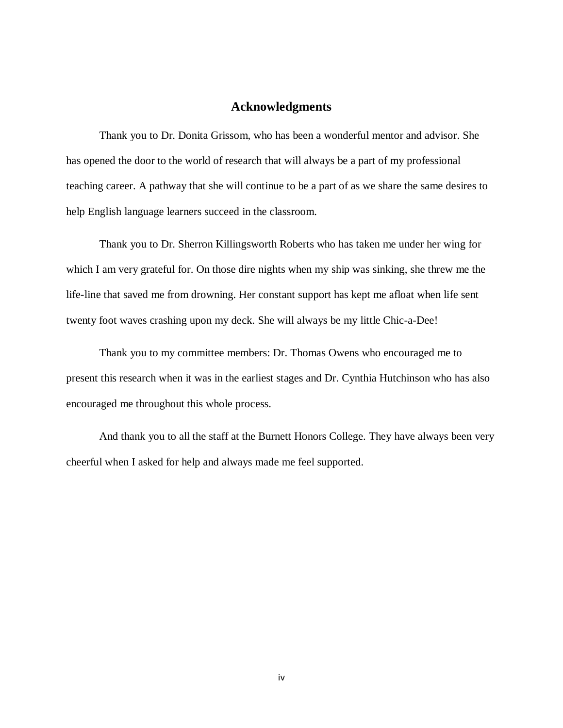## **Acknowledgments**

<span id="page-4-0"></span>Thank you to Dr. Donita Grissom, who has been a wonderful mentor and advisor. She has opened the door to the world of research that will always be a part of my professional teaching career. A pathway that she will continue to be a part of as we share the same desires to help English language learners succeed in the classroom.

Thank you to Dr. Sherron Killingsworth Roberts who has taken me under her wing for which I am very grateful for. On those dire nights when my ship was sinking, she threw me the life-line that saved me from drowning. Her constant support has kept me afloat when life sent twenty foot waves crashing upon my deck. She will always be my little Chic-a-Dee!

Thank you to my committee members: Dr. Thomas Owens who encouraged me to present this research when it was in the earliest stages and Dr. Cynthia Hutchinson who has also encouraged me throughout this whole process.

And thank you to all the staff at the Burnett Honors College. They have always been very cheerful when I asked for help and always made me feel supported.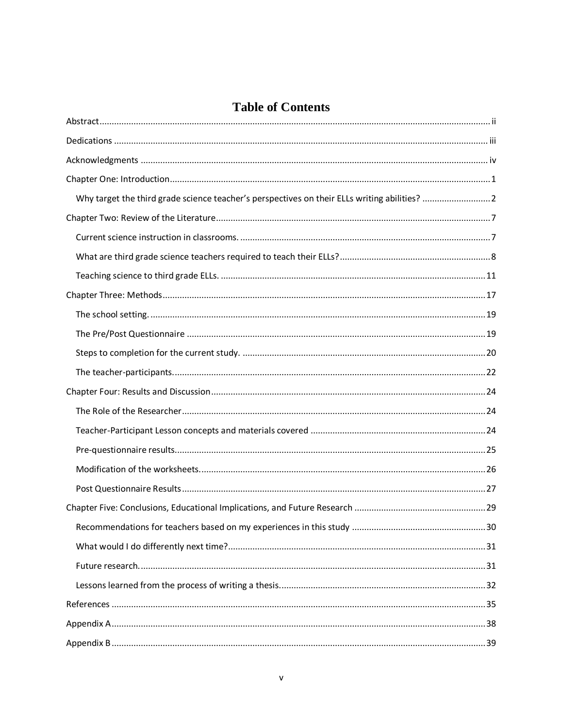## **Table of Contents**

| Why target the third grade science teacher's perspectives on their ELLs writing abilities?  2 |  |
|-----------------------------------------------------------------------------------------------|--|
|                                                                                               |  |
|                                                                                               |  |
|                                                                                               |  |
|                                                                                               |  |
|                                                                                               |  |
|                                                                                               |  |
|                                                                                               |  |
|                                                                                               |  |
|                                                                                               |  |
|                                                                                               |  |
|                                                                                               |  |
|                                                                                               |  |
|                                                                                               |  |
|                                                                                               |  |
|                                                                                               |  |
|                                                                                               |  |
|                                                                                               |  |
|                                                                                               |  |
|                                                                                               |  |
|                                                                                               |  |
|                                                                                               |  |
|                                                                                               |  |
|                                                                                               |  |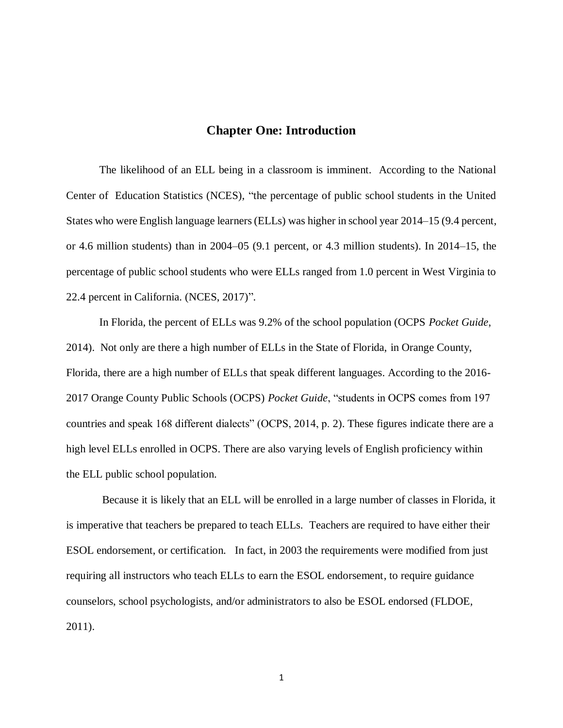## **Chapter One: Introduction**

<span id="page-7-0"></span>The likelihood of an ELL being in a classroom is imminent. According to the National Center of Education Statistics (NCES), "the percentage of public school students in the United States who were English language learners (ELLs) was higher in school year 2014–15 (9.4 percent, or 4.6 million students) than in 2004–05 (9.1 percent, or 4.3 million students). In 2014–15, the percentage of public school students who were ELLs ranged from 1.0 percent in West Virginia to 22.4 percent in California. (NCES, 2017)".

In Florida, the percent of ELLs was 9.2% of the school population (OCPS *Pocket Guide*, 2014). Not only are there a high number of ELLs in the State of Florida, in Orange County, Florida, there are a high number of ELLs that speak different languages. According to the 2016- 2017 Orange County Public Schools (OCPS) *Pocket Guide*, "students in OCPS comes from 197 countries and speak 168 different dialects" (OCPS, 2014, p. 2). These figures indicate there are a high level ELLs enrolled in OCPS. There are also varying levels of English proficiency within the ELL public school population.

Because it is likely that an ELL will be enrolled in a large number of classes in Florida, it is imperative that teachers be prepared to teach ELLs. Teachers are required to have either their ESOL endorsement, or certification. In fact, in 2003 the requirements were modified from just requiring all instructors who teach ELLs to earn the ESOL endorsement, to require guidance counselors, school psychologists, and/or administrators to also be ESOL endorsed (FLDOE, 2011).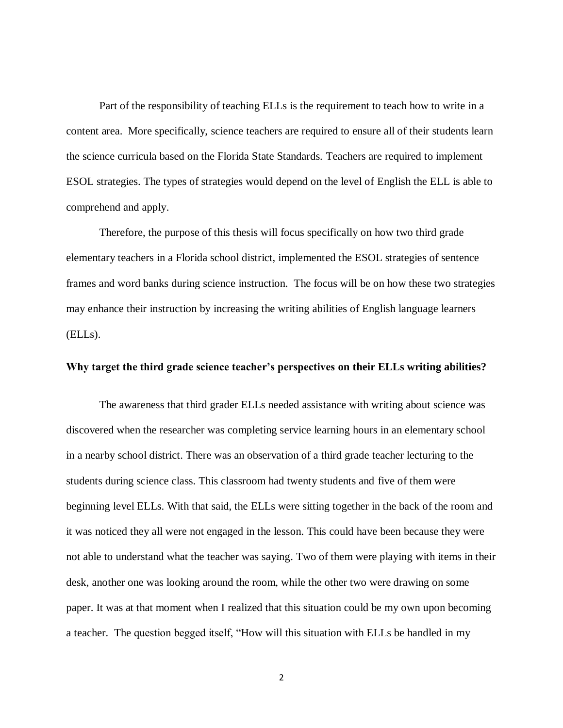Part of the responsibility of teaching ELLs is the requirement to teach how to write in a content area. More specifically, science teachers are required to ensure all of their students learn the science curricula based on the Florida State Standards. Teachers are required to implement ESOL strategies. The types of strategies would depend on the level of English the ELL is able to comprehend and apply.

Therefore, the purpose of this thesis will focus specifically on how two third grade elementary teachers in a Florida school district, implemented the ESOL strategies of sentence frames and word banks during science instruction. The focus will be on how these two strategies may enhance their instruction by increasing the writing abilities of English language learners (ELLs).

## <span id="page-8-0"></span>**Why target the third grade science teacher's perspectives on their ELLs writing abilities?**

The awareness that third grader ELLs needed assistance with writing about science was discovered when the researcher was completing service learning hours in an elementary school in a nearby school district. There was an observation of a third grade teacher lecturing to the students during science class. This classroom had twenty students and five of them were beginning level ELLs. With that said, the ELLs were sitting together in the back of the room and it was noticed they all were not engaged in the lesson. This could have been because they were not able to understand what the teacher was saying. Two of them were playing with items in their desk, another one was looking around the room, while the other two were drawing on some paper. It was at that moment when I realized that this situation could be my own upon becoming a teacher. The question begged itself, "How will this situation with ELLs be handled in my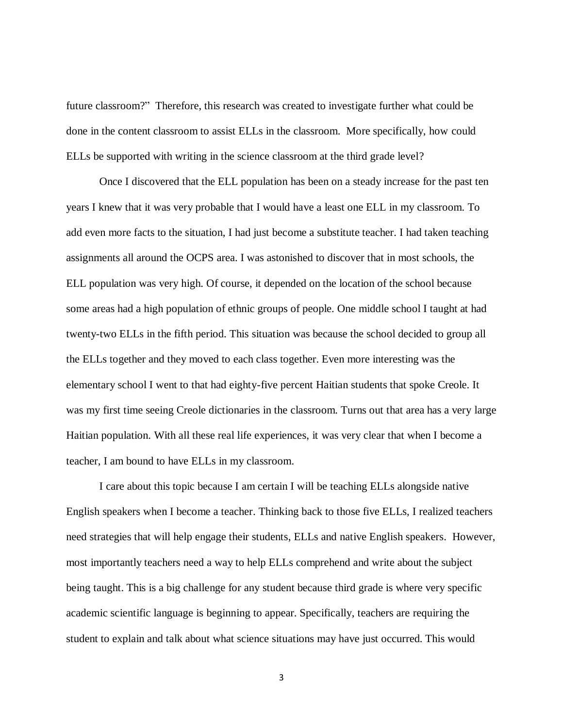future classroom?" Therefore, this research was created to investigate further what could be done in the content classroom to assist ELLs in the classroom. More specifically, how could ELLs be supported with writing in the science classroom at the third grade level?

Once I discovered that the ELL population has been on a steady increase for the past ten years I knew that it was very probable that I would have a least one ELL in my classroom. To add even more facts to the situation, I had just become a substitute teacher. I had taken teaching assignments all around the OCPS area. I was astonished to discover that in most schools, the ELL population was very high. Of course, it depended on the location of the school because some areas had a high population of ethnic groups of people. One middle school I taught at had twenty-two ELLs in the fifth period. This situation was because the school decided to group all the ELLs together and they moved to each class together. Even more interesting was the elementary school I went to that had eighty-five percent Haitian students that spoke Creole. It was my first time seeing Creole dictionaries in the classroom. Turns out that area has a very large Haitian population. With all these real life experiences, it was very clear that when I become a teacher, I am bound to have ELLs in my classroom.

I care about this topic because I am certain I will be teaching ELLs alongside native English speakers when I become a teacher. Thinking back to those five ELLs, I realized teachers need strategies that will help engage their students, ELLs and native English speakers. However, most importantly teachers need a way to help ELLs comprehend and write about the subject being taught. This is a big challenge for any student because third grade is where very specific academic scientific language is beginning to appear. Specifically, teachers are requiring the student to explain and talk about what science situations may have just occurred. This would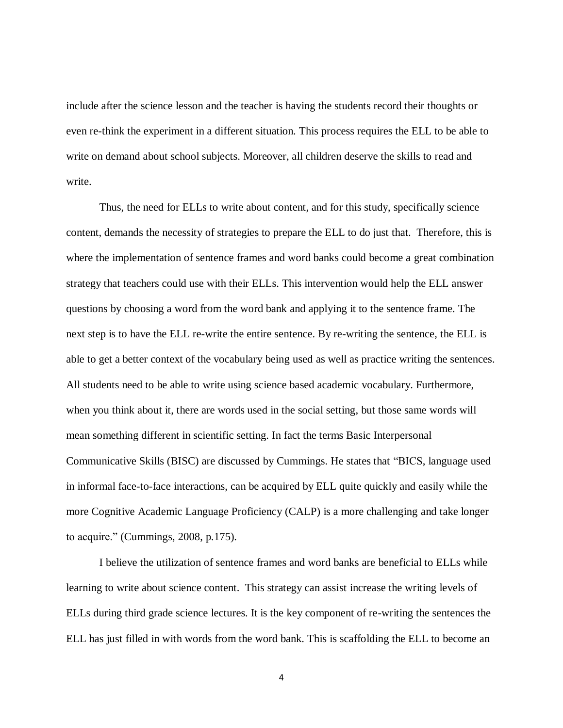include after the science lesson and the teacher is having the students record their thoughts or even re-think the experiment in a different situation. This process requires the ELL to be able to write on demand about school subjects. Moreover, all children deserve the skills to read and write.

Thus, the need for ELLs to write about content, and for this study, specifically science content, demands the necessity of strategies to prepare the ELL to do just that. Therefore, this is where the implementation of sentence frames and word banks could become a great combination strategy that teachers could use with their ELLs. This intervention would help the ELL answer questions by choosing a word from the word bank and applying it to the sentence frame. The next step is to have the ELL re-write the entire sentence. By re-writing the sentence, the ELL is able to get a better context of the vocabulary being used as well as practice writing the sentences. All students need to be able to write using science based academic vocabulary. Furthermore, when you think about it, there are words used in the social setting, but those same words will mean something different in scientific setting. In fact the terms Basic Interpersonal Communicative Skills (BISC) are discussed by Cummings. He states that "BICS, language used in informal face-to-face interactions, can be acquired by ELL quite quickly and easily while the more Cognitive Academic Language Proficiency (CALP) is a more challenging and take longer to acquire." (Cummings, 2008, p.175).

I believe the utilization of sentence frames and word banks are beneficial to ELLs while learning to write about science content. This strategy can assist increase the writing levels of ELLs during third grade science lectures. It is the key component of re-writing the sentences the ELL has just filled in with words from the word bank. This is scaffolding the ELL to become an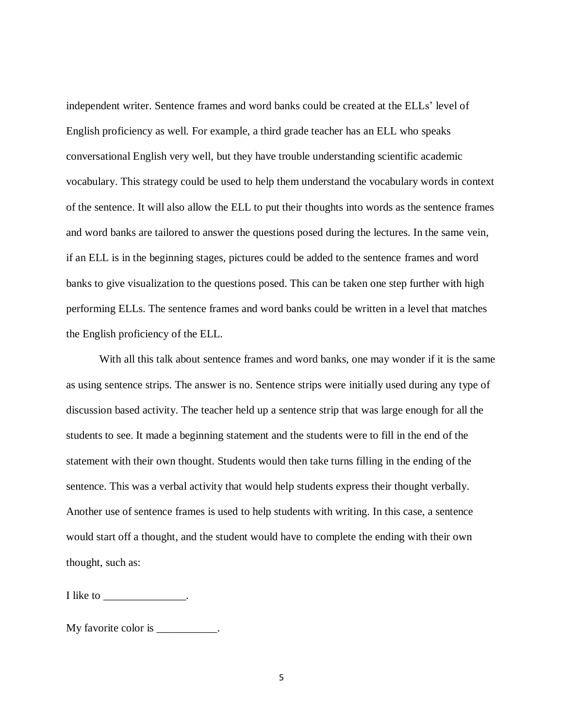independent writer. Sentence frames and word banks could be created at the ELLs' level of English proficiency as well. For example, a third grade teacher has an ELL who speaks conversational English very well, but they have trouble understanding scientific academic vocabulary. This strategy could be used to help them understand the vocabulary words in context of the sentence. It will also allow the ELL to put their thoughts into words as the sentence frames and word banks are tailored to answer the questions posed during the lectures. In the same vein, if an ELL is in the beginning stages, pictures could be added to the sentence frames and word banks to give visualization to the questions posed. This can be taken one step further with high performing ELLs. The sentence frames and word banks could be written in a level that matches the English proficiency of the ELL.

With all this talk about sentence frames and word banks, one may wonder if it is the same as using sentence strips. The answer is no. Sentence strips were initially used during any type of discussion based activity. The teacher held up a sentence strip that was large enough for all the students to see. It made a beginning statement and the students were to fill in the end of the statement with their own thought. Students would then take turns filling in the ending of the sentence. This was a verbal activity that would help students express their thought verbally. Another use of sentence frames is used to help students with writing. In this case, a sentence would start off a thought, and the student would have to complete the ending with their own thought, such as:

I like to \_\_\_\_\_\_\_\_\_\_\_\_\_\_\_\_\_\_.

My favorite color is  $\blacksquare$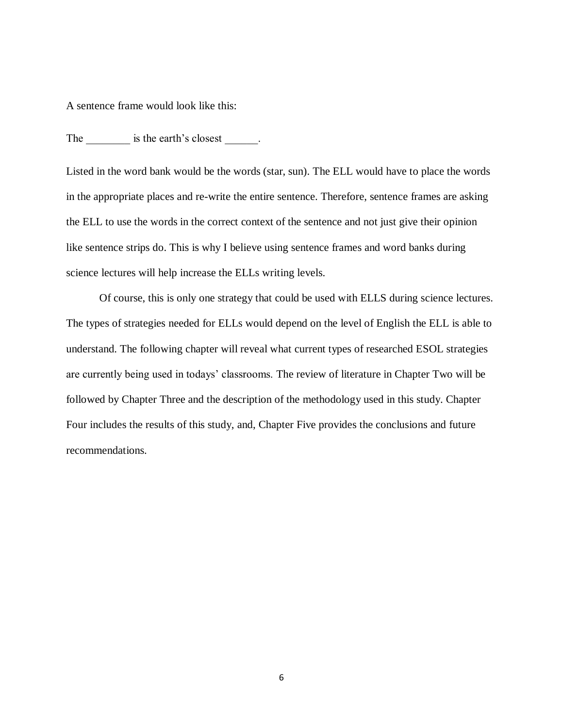A sentence frame would look like this:

The \_\_\_\_\_\_\_\_\_ is the earth's closest \_\_\_\_\_\_.

Listed in the word bank would be the words (star, sun). The ELL would have to place the words in the appropriate places and re-write the entire sentence. Therefore, sentence frames are asking the ELL to use the words in the correct context of the sentence and not just give their opinion like sentence strips do. This is why I believe using sentence frames and word banks during science lectures will help increase the ELLs writing levels.

Of course, this is only one strategy that could be used with ELLS during science lectures. The types of strategies needed for ELLs would depend on the level of English the ELL is able to understand. The following chapter will reveal what current types of researched ESOL strategies are currently being used in todays' classrooms. The review of literature in Chapter Two will be followed by Chapter Three and the description of the methodology used in this study. Chapter Four includes the results of this study, and, Chapter Five provides the conclusions and future recommendations.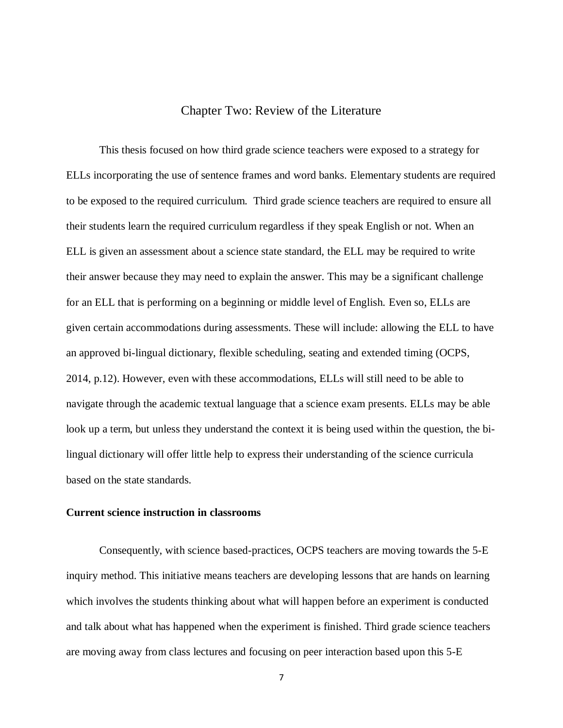## Chapter Two: Review of the Literature

<span id="page-13-0"></span>This thesis focused on how third grade science teachers were exposed to a strategy for ELLs incorporating the use of sentence frames and word banks. Elementary students are required to be exposed to the required curriculum. Third grade science teachers are required to ensure all their students learn the required curriculum regardless if they speak English or not. When an ELL is given an assessment about a science state standard, the ELL may be required to write their answer because they may need to explain the answer. This may be a significant challenge for an ELL that is performing on a beginning or middle level of English. Even so, ELLs are given certain accommodations during assessments. These will include: allowing the ELL to have an approved bi-lingual dictionary, flexible scheduling, seating and extended timing (OCPS, 2014, p.12). However, even with these accommodations, ELLs will still need to be able to navigate through the academic textual language that a science exam presents. ELLs may be able look up a term, but unless they understand the context it is being used within the question, the bilingual dictionary will offer little help to express their understanding of the science curricula based on the state standards.

## <span id="page-13-1"></span>**Current science instruction in classrooms**

Consequently, with science based-practices, OCPS teachers are moving towards the 5-E inquiry method. This initiative means teachers are developing lessons that are hands on learning which involves the students thinking about what will happen before an experiment is conducted and talk about what has happened when the experiment is finished. Third grade science teachers are moving away from class lectures and focusing on peer interaction based upon this 5-E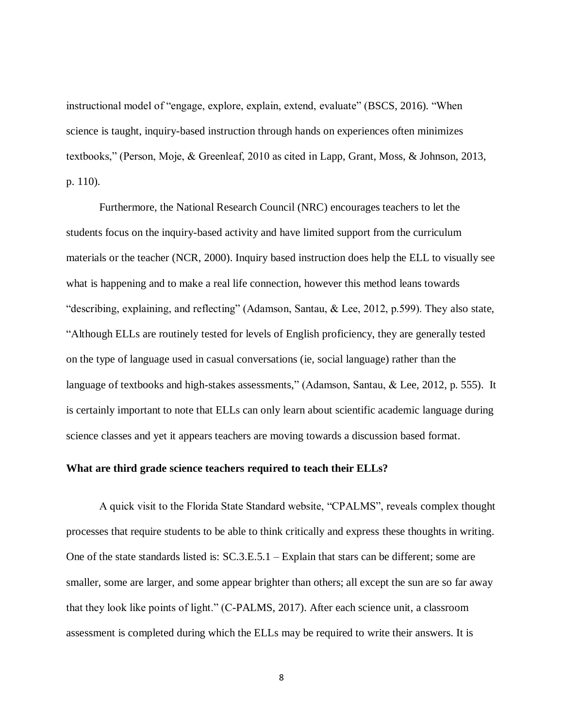instructional model of "engage, explore, explain, extend, evaluate" (BSCS, 2016). "When science is taught, inquiry-based instruction through hands on experiences often minimizes textbooks," (Person, Moje, & Greenleaf, 2010 as cited in Lapp, Grant, Moss, & Johnson, 2013, p. 110).

Furthermore, the National Research Council (NRC) encourages teachers to let the students focus on the inquiry-based activity and have limited support from the curriculum materials or the teacher (NCR, 2000). Inquiry based instruction does help the ELL to visually see what is happening and to make a real life connection, however this method leans towards "describing, explaining, and reflecting" (Adamson, Santau, & Lee, 2012, p.599). They also state, "Although ELLs are routinely tested for levels of English proficiency, they are generally tested on the type of language used in casual conversations (ie, social language) rather than the language of textbooks and high-stakes assessments," (Adamson, Santau, & Lee, 2012, p. 555). It is certainly important to note that ELLs can only learn about scientific academic language during science classes and yet it appears teachers are moving towards a discussion based format.

## <span id="page-14-0"></span>**What are third grade science teachers required to teach their ELLs?**

A quick visit to the Florida State Standard website, "CPALMS", reveals complex thought processes that require students to be able to think critically and express these thoughts in writing. One of the state standards listed is: SC.3.E.5.1 – Explain that stars can be different; some are smaller, some are larger, and some appear brighter than others; all except the sun are so far away that they look like points of light." (C-PALMS, 2017). After each science unit, a classroom assessment is completed during which the ELLs may be required to write their answers. It is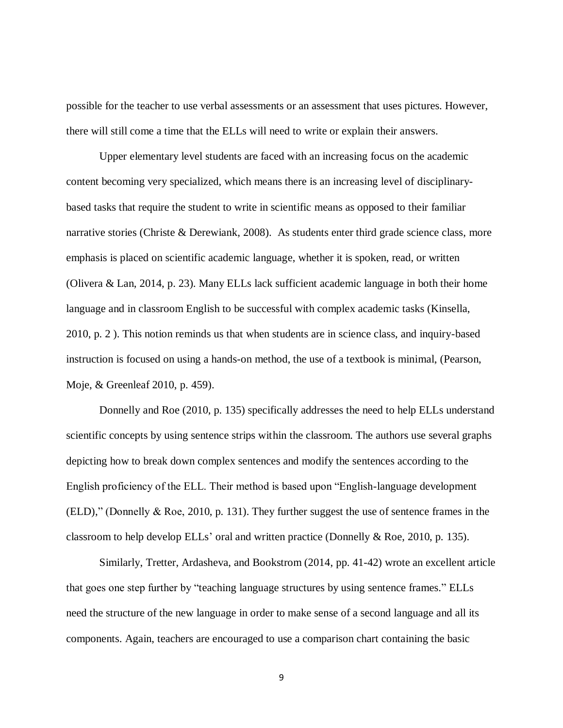possible for the teacher to use verbal assessments or an assessment that uses pictures. However, there will still come a time that the ELLs will need to write or explain their answers.

Upper elementary level students are faced with an increasing focus on the academic content becoming very specialized, which means there is an increasing level of disciplinarybased tasks that require the student to write in scientific means as opposed to their familiar narrative stories (Christe & Derewiank, 2008). As students enter third grade science class, more emphasis is placed on scientific academic language, whether it is spoken, read, or written (Olivera & Lan, 2014, p. 23). Many ELLs lack sufficient academic language in both their home language and in classroom English to be successful with complex academic tasks (Kinsella, 2010, p. 2 ). This notion reminds us that when students are in science class, and inquiry-based instruction is focused on using a hands-on method, the use of a textbook is minimal, (Pearson, Moje, & Greenleaf 2010, p. 459).

Donnelly and Roe (2010, p. 135) specifically addresses the need to help ELLs understand scientific concepts by using sentence strips within the classroom. The authors use several graphs depicting how to break down complex sentences and modify the sentences according to the English proficiency of the ELL. Their method is based upon "English-language development (ELD)," (Donnelly & Roe, 2010, p. 131). They further suggest the use of sentence frames in the classroom to help develop ELLs' oral and written practice (Donnelly & Roe, 2010, p. 135).

Similarly, Tretter, Ardasheva, and Bookstrom (2014, pp. 41-42) wrote an excellent article that goes one step further by "teaching language structures by using sentence frames." ELLs need the structure of the new language in order to make sense of a second language and all its components. Again, teachers are encouraged to use a comparison chart containing the basic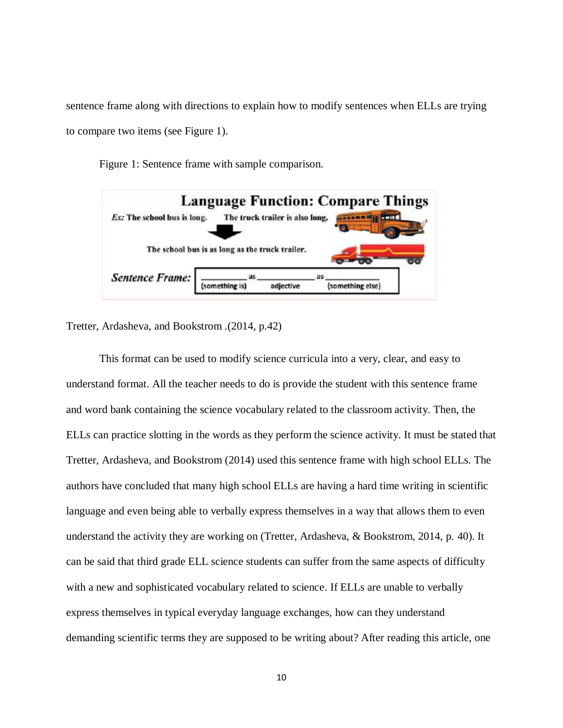sentence frame along with directions to explain how to modify sentences when ELLs are trying to compare two items (see Figure 1).

Figure 1: Sentence frame with sample comparison.



Tretter, Ardasheva, and Bookstrom .(2014, p.42)

This format can be used to modify science curricula into a very, clear, and easy to understand format. All the teacher needs to do is provide the student with this sentence frame and word bank containing the science vocabulary related to the classroom activity. Then, the ELLs can practice slotting in the words as they perform the science activity. It must be stated that Tretter, Ardasheva, and Bookstrom (2014) used this sentence frame with high school ELLs. The authors have concluded that many high school ELLs are having a hard time writing in scientific language and even being able to verbally express themselves in a way that allows them to even understand the activity they are working on (Tretter, Ardasheva, & Bookstrom, 2014, p. 40). It can be said that third grade ELL science students can suffer from the same aspects of difficulty with a new and sophisticated vocabulary related to science. If ELLs are unable to verbally express themselves in typical everyday language exchanges, how can they understand demanding scientific terms they are supposed to be writing about? After reading this article, one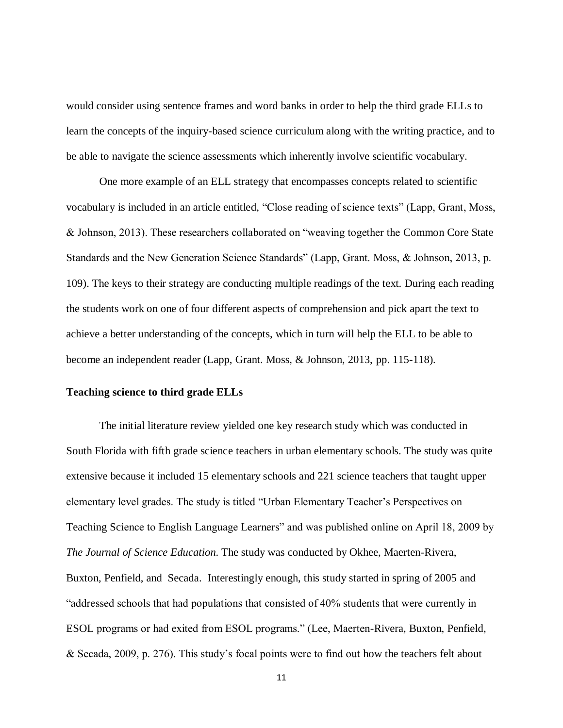would consider using sentence frames and word banks in order to help the third grade ELLs to learn the concepts of the inquiry-based science curriculum along with the writing practice, and to be able to navigate the science assessments which inherently involve scientific vocabulary.

One more example of an ELL strategy that encompasses concepts related to scientific vocabulary is included in an article entitled, "Close reading of science texts" (Lapp, Grant, Moss, & Johnson, 2013). These researchers collaborated on "weaving together the Common Core State Standards and the New Generation Science Standards" (Lapp, Grant. Moss, & Johnson, 2013, p. 109). The keys to their strategy are conducting multiple readings of the text. During each reading the students work on one of four different aspects of comprehension and pick apart the text to achieve a better understanding of the concepts, which in turn will help the ELL to be able to become an independent reader (Lapp, Grant. Moss, & Johnson, 2013, pp. 115-118).

## <span id="page-17-0"></span>**Teaching science to third grade ELLs**

The initial literature review yielded one key research study which was conducted in South Florida with fifth grade science teachers in urban elementary schools. The study was quite extensive because it included 15 elementary schools and 221 science teachers that taught upper elementary level grades. The study is titled "Urban Elementary Teacher's Perspectives on Teaching Science to English Language Learners" and was published online on April 18, 2009 by *The Journal of Science Education*. The study was conducted by Okhee, Maerten-Rivera, Buxton, Penfield, and Secada. Interestingly enough, this study started in spring of 2005 and "addressed schools that had populations that consisted of 40% students that were currently in ESOL programs or had exited from ESOL programs." (Lee, Maerten-Rivera, Buxton, Penfield, & Secada, 2009, p. 276). This study's focal points were to find out how the teachers felt about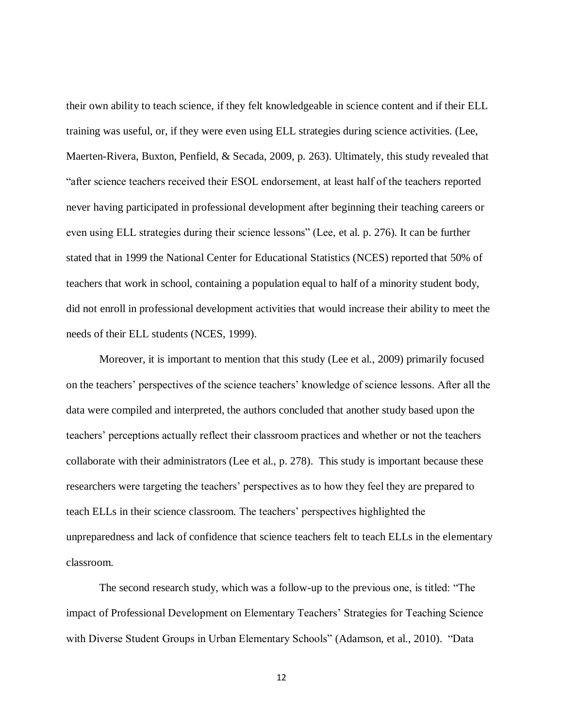their own ability to teach science, if they felt knowledgeable in science content and if their ELL training was useful, or, if they were even using ELL strategies during science activities. (Lee, Maerten-Rivera, Buxton, Penfield, & Secada, 2009, p. 263). Ultimately, this study revealed that "after science teachers received their ESOL endorsement, at least half of the teachers reported never having participated in professional development after beginning their teaching careers or even using ELL strategies during their science lessons" (Lee, et al. p. 276). It can be further stated that in 1999 the National Center for Educational Statistics (NCES) reported that 50% of teachers that work in school, containing a population equal to half of a minority student body, did not enroll in professional development activities that would increase their ability to meet the needs of their ELL students (NCES, 1999).

Moreover, it is important to mention that this study (Lee et al., 2009) primarily focused on the teachers' perspectives of the science teachers' knowledge of science lessons. After all the data were compiled and interpreted, the authors concluded that another study based upon the teachers' perceptions actually reflect their classroom practices and whether or not the teachers collaborate with their administrators (Lee et al., p. 278). This study is important because these researchers were targeting the teachers' perspectives as to how they feel they are prepared to teach ELLs in their science classroom. The teachers' perspectives highlighted the unpreparedness and lack of confidence that science teachers felt to teach ELLs in the elementary classroom.

The second research study, which was a follow-up to the previous one, is titled: "The impact of Professional Development on Elementary Teachers' Strategies for Teaching Science with Diverse Student Groups in Urban Elementary Schools" (Adamson, et al., 2010). "Data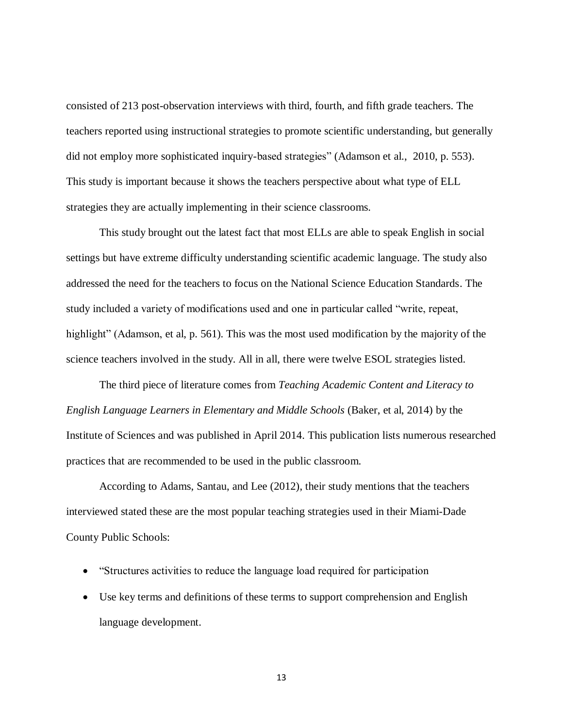consisted of 213 post-observation interviews with third, fourth, and fifth grade teachers. The teachers reported using instructional strategies to promote scientific understanding, but generally did not employ more sophisticated inquiry-based strategies" (Adamson et al., 2010, p. 553). This study is important because it shows the teachers perspective about what type of ELL strategies they are actually implementing in their science classrooms.

This study brought out the latest fact that most ELLs are able to speak English in social settings but have extreme difficulty understanding scientific academic language. The study also addressed the need for the teachers to focus on the National Science Education Standards. The study included a variety of modifications used and one in particular called "write, repeat, highlight" (Adamson, et al, p. 561). This was the most used modification by the majority of the science teachers involved in the study. All in all, there were twelve ESOL strategies listed.

The third piece of literature comes from *Teaching Academic Content and Literacy to English Language Learners in Elementary and Middle Schools* (Baker, et al, 2014) by the Institute of Sciences and was published in April 2014. This publication lists numerous researched practices that are recommended to be used in the public classroom.

According to Adams, Santau, and Lee (2012), their study mentions that the teachers interviewed stated these are the most popular teaching strategies used in their Miami-Dade County Public Schools:

- "Structures activities to reduce the language load required for participation
- Use key terms and definitions of these terms to support comprehension and English language development.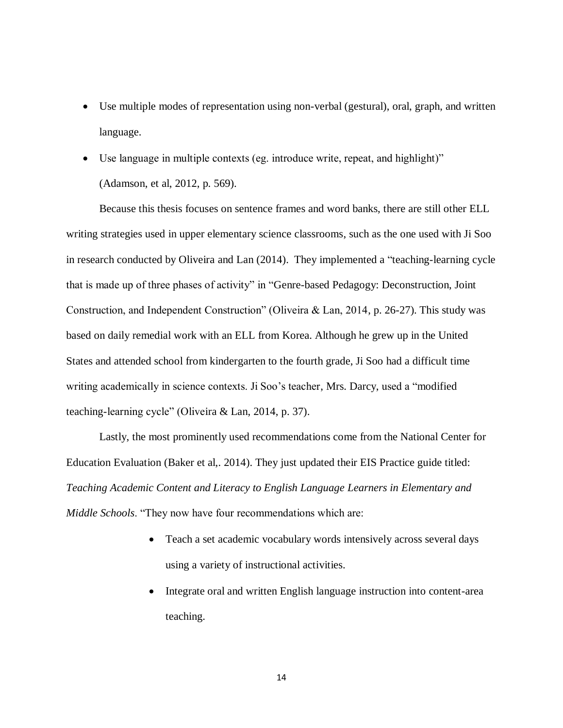- Use multiple modes of representation using non-verbal (gestural), oral, graph, and written language.
- Use language in multiple contexts (eg. introduce write, repeat, and highlight)" (Adamson, et al, 2012, p. 569).

Because this thesis focuses on sentence frames and word banks, there are still other ELL writing strategies used in upper elementary science classrooms, such as the one used with Ji Soo in research conducted by Oliveira and Lan (2014). They implemented a "teaching-learning cycle that is made up of three phases of activity" in "Genre-based Pedagogy: Deconstruction, Joint Construction, and Independent Construction" (Oliveira & Lan, 2014, p. 26-27). This study was based on daily remedial work with an ELL from Korea. Although he grew up in the United States and attended school from kindergarten to the fourth grade, Ji Soo had a difficult time writing academically in science contexts. Ji Soo's teacher, Mrs. Darcy, used a "modified teaching-learning cycle" (Oliveira & Lan, 2014, p. 37).

Lastly, the most prominently used recommendations come from the National Center for Education Evaluation (Baker et al,. 2014). They just updated their EIS Practice guide titled: *Teaching Academic Content and Literacy to English Language Learners in Elementary and Middle Schools*. "They now have four recommendations which are:

- Teach a set academic vocabulary words intensively across several days using a variety of instructional activities.
- Integrate oral and written English language instruction into content-area teaching.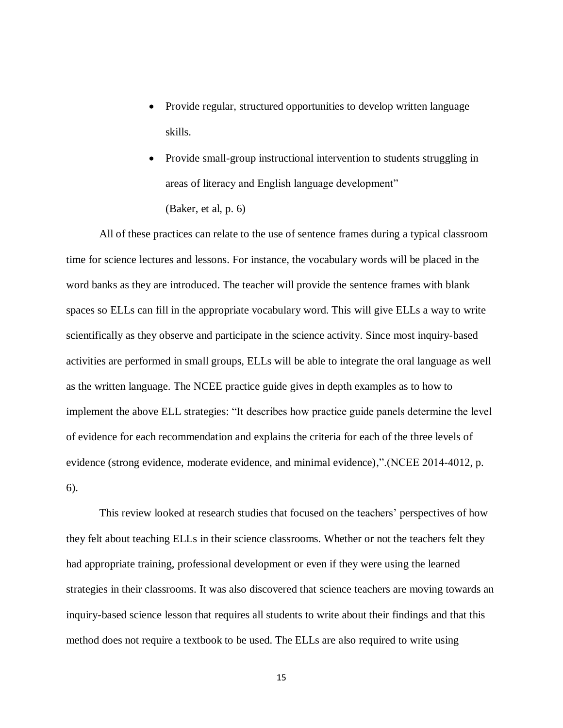- Provide regular, structured opportunities to develop written language skills.
- Provide small-group instructional intervention to students struggling in areas of literacy and English language development" (Baker, et al, p. 6)

All of these practices can relate to the use of sentence frames during a typical classroom time for science lectures and lessons. For instance, the vocabulary words will be placed in the word banks as they are introduced. The teacher will provide the sentence frames with blank spaces so ELLs can fill in the appropriate vocabulary word. This will give ELLs a way to write scientifically as they observe and participate in the science activity. Since most inquiry-based activities are performed in small groups, ELLs will be able to integrate the oral language as well as the written language. The NCEE practice guide gives in depth examples as to how to implement the above ELL strategies: "It describes how practice guide panels determine the level of evidence for each recommendation and explains the criteria for each of the three levels of evidence (strong evidence, moderate evidence, and minimal evidence),".(NCEE 2014-4012, p. 6).

This review looked at research studies that focused on the teachers' perspectives of how they felt about teaching ELLs in their science classrooms. Whether or not the teachers felt they had appropriate training, professional development or even if they were using the learned strategies in their classrooms. It was also discovered that science teachers are moving towards an inquiry-based science lesson that requires all students to write about their findings and that this method does not require a textbook to be used. The ELLs are also required to write using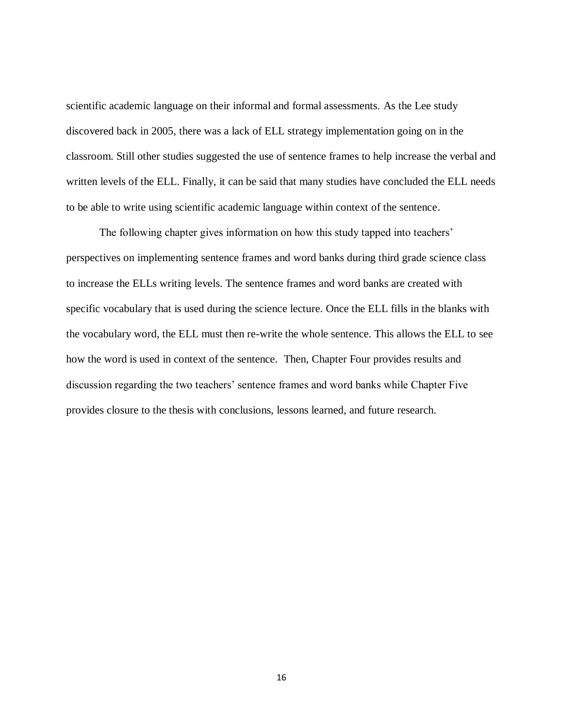scientific academic language on their informal and formal assessments. As the Lee study discovered back in 2005, there was a lack of ELL strategy implementation going on in the classroom. Still other studies suggested the use of sentence frames to help increase the verbal and written levels of the ELL. Finally, it can be said that many studies have concluded the ELL needs to be able to write using scientific academic language within context of the sentence.

The following chapter gives information on how this study tapped into teachers' perspectives on implementing sentence frames and word banks during third grade science class to increase the ELLs writing levels. The sentence frames and word banks are created with specific vocabulary that is used during the science lecture. Once the ELL fills in the blanks with the vocabulary word, the ELL must then re-write the whole sentence. This allows the ELL to see how the word is used in context of the sentence. Then, Chapter Four provides results and discussion regarding the two teachers' sentence frames and word banks while Chapter Five provides closure to the thesis with conclusions, lessons learned, and future research.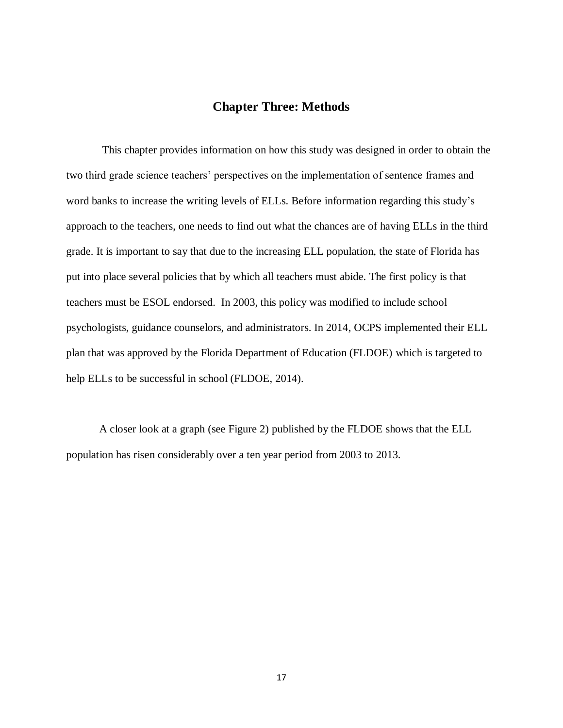## **Chapter Three: Methods**

<span id="page-23-0"></span>This chapter provides information on how this study was designed in order to obtain the two third grade science teachers' perspectives on the implementation of sentence frames and word banks to increase the writing levels of ELLs. Before information regarding this study's approach to the teachers, one needs to find out what the chances are of having ELLs in the third grade. It is important to say that due to the increasing ELL population, the state of Florida has put into place several policies that by which all teachers must abide. The first policy is that teachers must be ESOL endorsed. In 2003, this policy was modified to include school psychologists, guidance counselors, and administrators. In 2014, OCPS implemented their ELL plan that was approved by the Florida Department of Education (FLDOE) which is targeted to help ELLs to be successful in school (FLDOE, 2014).

A closer look at a graph (see Figure 2) published by the FLDOE shows that the ELL population has risen considerably over a ten year period from 2003 to 2013.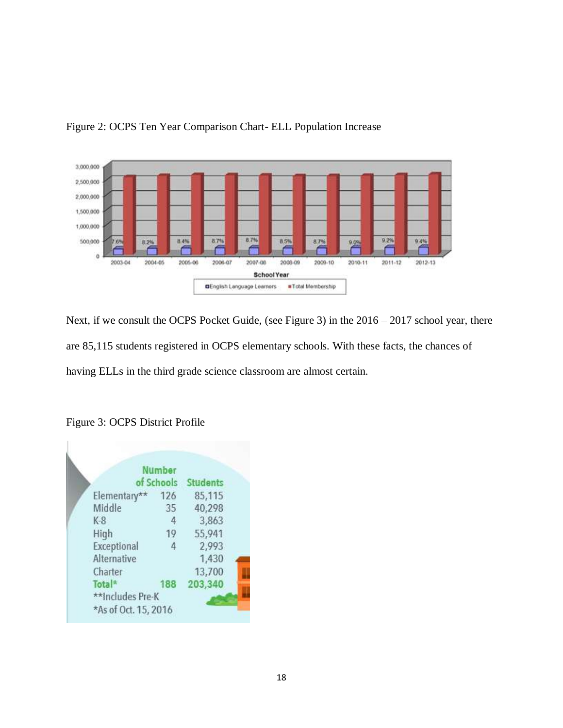

Figure 2: OCPS Ten Year Comparison Chart- ELL Population Increase

Next, if we consult the OCPS Pocket Guide, (see Figure 3) in the  $2016 - 2017$  school year, there are 85,115 students registered in OCPS elementary schools. With these facts, the chances of having ELLs in the third grade science classroom are almost certain.

|              | of Schools | <b>Students</b> |
|--------------|------------|-----------------|
| Elementary** | 126        | 85,115          |
| Middle       | 35         | 40,298          |
| $K-8$        | 4          | 3,863           |
| High         | 19         | 55,941          |
| Exceptional  | 4          | 2,993           |
| Alternative  |            | 1,430           |
| Charter      |            | 13,700          |
| Total*       | 188        | 203,340         |

## Figure 3: OCPS District Profile

Ī.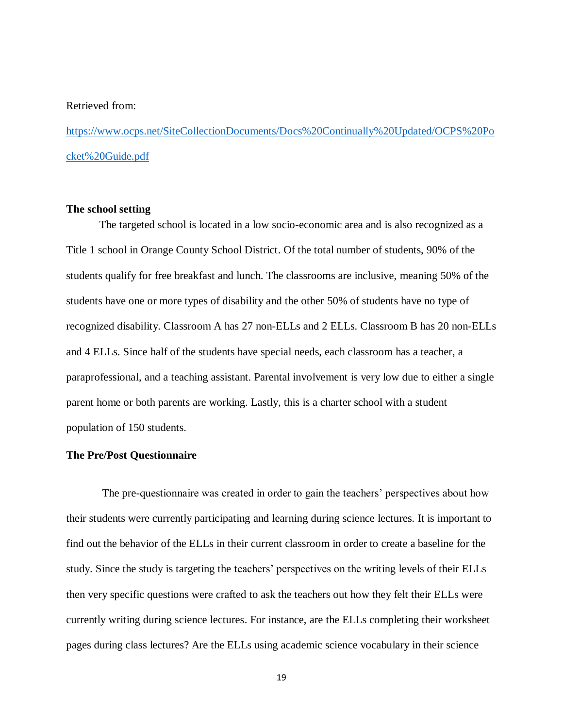#### Retrieved from:

[https://www.ocps.net/SiteCollectionDocuments/Docs%20Continually%20Updated/OCPS%20Po](https://www.ocps.net/SiteCollectionDocuments/Docs%20Continually%20Updated/OCPS%20Pocket%20Guide.pdf) [cket%20Guide.pdf](https://www.ocps.net/SiteCollectionDocuments/Docs%20Continually%20Updated/OCPS%20Pocket%20Guide.pdf)

## <span id="page-25-0"></span>**The school setting**

The targeted school is located in a low socio-economic area and is also recognized as a Title 1 school in Orange County School District. Of the total number of students, 90% of the students qualify for free breakfast and lunch. The classrooms are inclusive, meaning 50% of the students have one or more types of disability and the other 50% of students have no type of recognized disability. Classroom A has 27 non-ELLs and 2 ELLs. Classroom B has 20 non-ELLs and 4 ELLs. Since half of the students have special needs, each classroom has a teacher, a paraprofessional, and a teaching assistant. Parental involvement is very low due to either a single parent home or both parents are working. Lastly, this is a charter school with a student population of 150 students.

## <span id="page-25-1"></span>**The Pre/Post Questionnaire**

 The pre-questionnaire was created in order to gain the teachers' perspectives about how their students were currently participating and learning during science lectures. It is important to find out the behavior of the ELLs in their current classroom in order to create a baseline for the study. Since the study is targeting the teachers' perspectives on the writing levels of their ELLs then very specific questions were crafted to ask the teachers out how they felt their ELLs were currently writing during science lectures. For instance, are the ELLs completing their worksheet pages during class lectures? Are the ELLs using academic science vocabulary in their science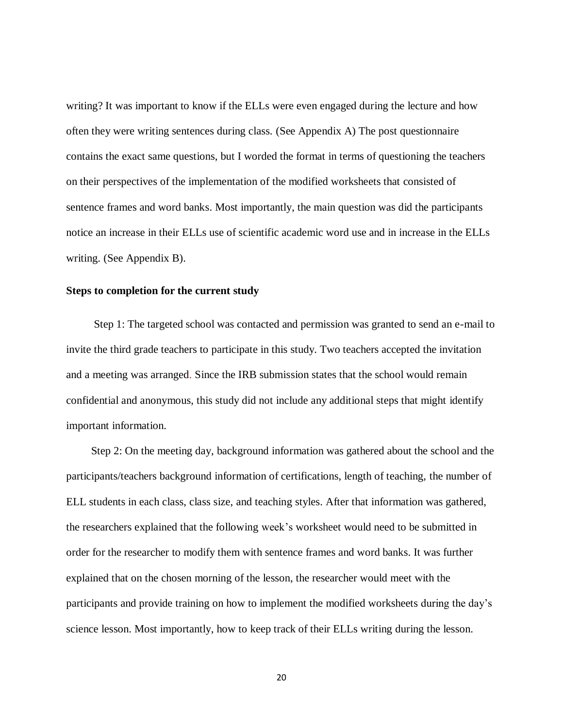writing? It was important to know if the ELLs were even engaged during the lecture and how often they were writing sentences during class. (See Appendix A) The post questionnaire contains the exact same questions, but I worded the format in terms of questioning the teachers on their perspectives of the implementation of the modified worksheets that consisted of sentence frames and word banks. Most importantly, the main question was did the participants notice an increase in their ELLs use of scientific academic word use and in increase in the ELLs writing. (See Appendix B).

#### <span id="page-26-0"></span>**Steps to completion for the current study**

 Step 1: The targeted school was contacted and permission was granted to send an e-mail to invite the third grade teachers to participate in this study. Two teachers accepted the invitation and a meeting was arranged. Since the IRB submission states that the school would remain confidential and anonymous, this study did not include any additional steps that might identify important information.

 Step 2: On the meeting day, background information was gathered about the school and the participants/teachers background information of certifications, length of teaching, the number of ELL students in each class, class size, and teaching styles. After that information was gathered, the researchers explained that the following week's worksheet would need to be submitted in order for the researcher to modify them with sentence frames and word banks. It was further explained that on the chosen morning of the lesson, the researcher would meet with the participants and provide training on how to implement the modified worksheets during the day's science lesson. Most importantly, how to keep track of their ELLs writing during the lesson.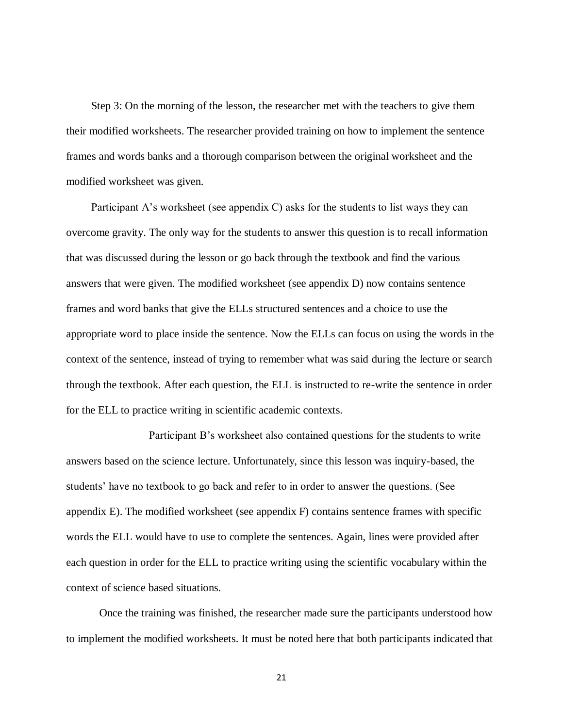Step 3: On the morning of the lesson, the researcher met with the teachers to give them their modified worksheets. The researcher provided training on how to implement the sentence frames and words banks and a thorough comparison between the original worksheet and the modified worksheet was given.

 Participant A's worksheet (see appendix C) asks for the students to list ways they can overcome gravity. The only way for the students to answer this question is to recall information that was discussed during the lesson or go back through the textbook and find the various answers that were given. The modified worksheet (see appendix D) now contains sentence frames and word banks that give the ELLs structured sentences and a choice to use the appropriate word to place inside the sentence. Now the ELLs can focus on using the words in the context of the sentence, instead of trying to remember what was said during the lecture or search through the textbook. After each question, the ELL is instructed to re-write the sentence in order for the ELL to practice writing in scientific academic contexts.

Participant B's worksheet also contained questions for the students to write answers based on the science lecture. Unfortunately, since this lesson was inquiry-based, the students' have no textbook to go back and refer to in order to answer the questions. (See appendix E). The modified worksheet (see appendix F) contains sentence frames with specific words the ELL would have to use to complete the sentences. Again, lines were provided after each question in order for the ELL to practice writing using the scientific vocabulary within the context of science based situations.

Once the training was finished, the researcher made sure the participants understood how to implement the modified worksheets. It must be noted here that both participants indicated that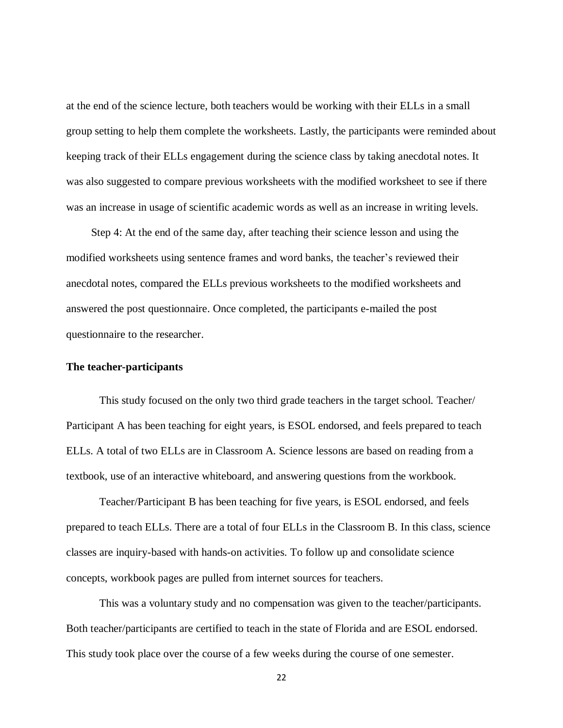at the end of the science lecture, both teachers would be working with their ELLs in a small group setting to help them complete the worksheets. Lastly, the participants were reminded about keeping track of their ELLs engagement during the science class by taking anecdotal notes. It was also suggested to compare previous worksheets with the modified worksheet to see if there was an increase in usage of scientific academic words as well as an increase in writing levels.

 Step 4: At the end of the same day, after teaching their science lesson and using the modified worksheets using sentence frames and word banks, the teacher's reviewed their anecdotal notes, compared the ELLs previous worksheets to the modified worksheets and answered the post questionnaire. Once completed, the participants e-mailed the post questionnaire to the researcher.

#### <span id="page-28-0"></span>**The teacher-participants**

This study focused on the only two third grade teachers in the target school. Teacher/ Participant A has been teaching for eight years, is ESOL endorsed, and feels prepared to teach ELLs. A total of two ELLs are in Classroom A. Science lessons are based on reading from a textbook, use of an interactive whiteboard, and answering questions from the workbook.

Teacher/Participant B has been teaching for five years, is ESOL endorsed, and feels prepared to teach ELLs. There are a total of four ELLs in the Classroom B. In this class, science classes are inquiry-based with hands-on activities. To follow up and consolidate science concepts, workbook pages are pulled from internet sources for teachers.

This was a voluntary study and no compensation was given to the teacher/participants. Both teacher/participants are certified to teach in the state of Florida and are ESOL endorsed. This study took place over the course of a few weeks during the course of one semester.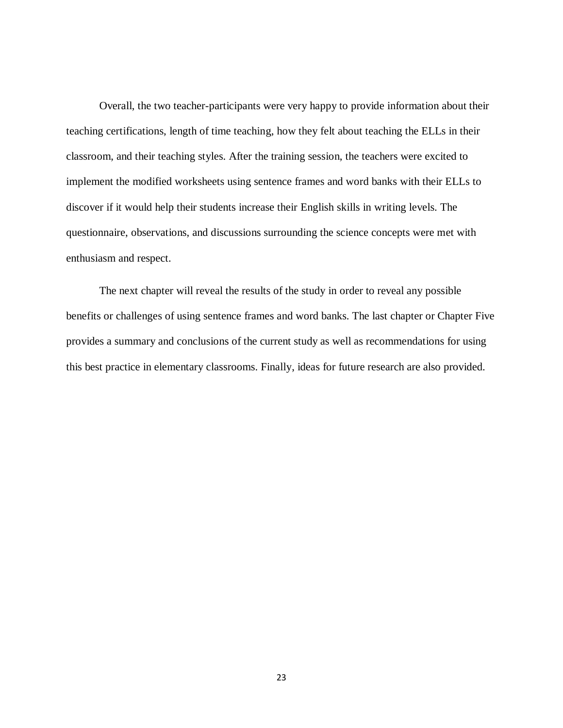Overall, the two teacher-participants were very happy to provide information about their teaching certifications, length of time teaching, how they felt about teaching the ELLs in their classroom, and their teaching styles. After the training session, the teachers were excited to implement the modified worksheets using sentence frames and word banks with their ELLs to discover if it would help their students increase their English skills in writing levels. The questionnaire, observations, and discussions surrounding the science concepts were met with enthusiasm and respect.

The next chapter will reveal the results of the study in order to reveal any possible benefits or challenges of using sentence frames and word banks. The last chapter or Chapter Five provides a summary and conclusions of the current study as well as recommendations for using this best practice in elementary classrooms. Finally, ideas for future research are also provided.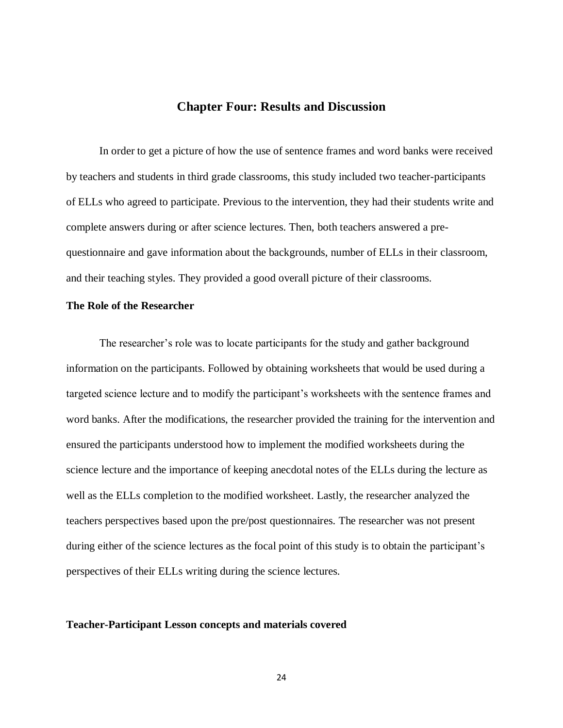## **Chapter Four: Results and Discussion**

<span id="page-30-0"></span>In order to get a picture of how the use of sentence frames and word banks were received by teachers and students in third grade classrooms, this study included two teacher-participants of ELLs who agreed to participate. Previous to the intervention, they had their students write and complete answers during or after science lectures. Then, both teachers answered a prequestionnaire and gave information about the backgrounds, number of ELLs in their classroom, and their teaching styles. They provided a good overall picture of their classrooms.

## <span id="page-30-1"></span>**The Role of the Researcher**

The researcher's role was to locate participants for the study and gather background information on the participants. Followed by obtaining worksheets that would be used during a targeted science lecture and to modify the participant's worksheets with the sentence frames and word banks. After the modifications, the researcher provided the training for the intervention and ensured the participants understood how to implement the modified worksheets during the science lecture and the importance of keeping anecdotal notes of the ELLs during the lecture as well as the ELLs completion to the modified worksheet. Lastly, the researcher analyzed the teachers perspectives based upon the pre/post questionnaires. The researcher was not present during either of the science lectures as the focal point of this study is to obtain the participant's perspectives of their ELLs writing during the science lectures.

## <span id="page-30-2"></span>**Teacher-Participant Lesson concepts and materials covered**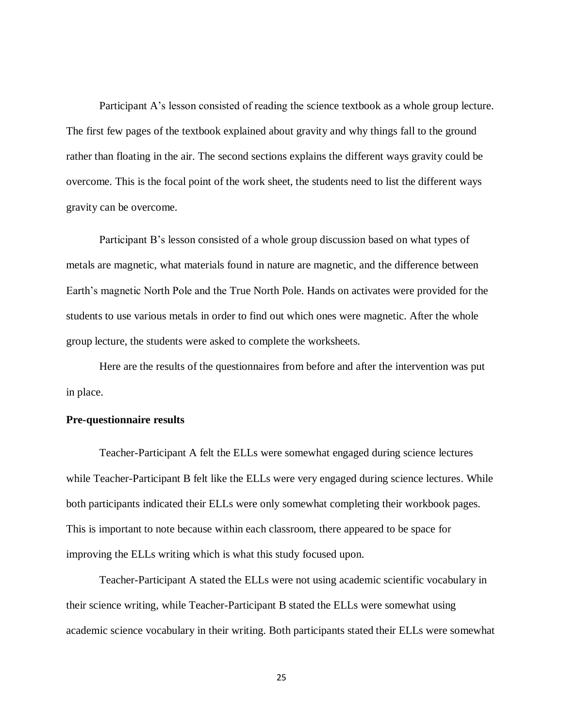Participant A's lesson consisted of reading the science textbook as a whole group lecture. The first few pages of the textbook explained about gravity and why things fall to the ground rather than floating in the air. The second sections explains the different ways gravity could be overcome. This is the focal point of the work sheet, the students need to list the different ways gravity can be overcome.

Participant B's lesson consisted of a whole group discussion based on what types of metals are magnetic, what materials found in nature are magnetic, and the difference between Earth's magnetic North Pole and the True North Pole. Hands on activates were provided for the students to use various metals in order to find out which ones were magnetic. After the whole group lecture, the students were asked to complete the worksheets.

Here are the results of the questionnaires from before and after the intervention was put in place.

## <span id="page-31-0"></span>**Pre-questionnaire results**

Teacher-Participant A felt the ELLs were somewhat engaged during science lectures while Teacher-Participant B felt like the ELLs were very engaged during science lectures. While both participants indicated their ELLs were only somewhat completing their workbook pages. This is important to note because within each classroom, there appeared to be space for improving the ELLs writing which is what this study focused upon.

Teacher-Participant A stated the ELLs were not using academic scientific vocabulary in their science writing, while Teacher-Participant B stated the ELLs were somewhat using academic science vocabulary in their writing. Both participants stated their ELLs were somewhat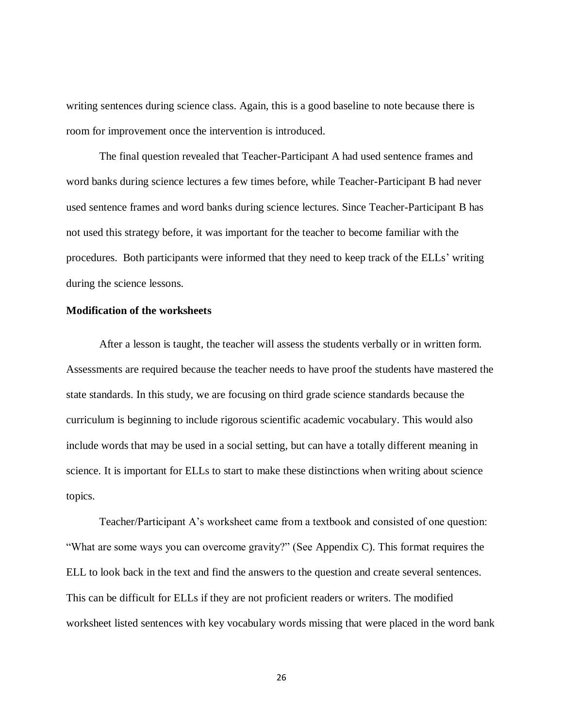writing sentences during science class. Again, this is a good baseline to note because there is room for improvement once the intervention is introduced.

The final question revealed that Teacher-Participant A had used sentence frames and word banks during science lectures a few times before, while Teacher-Participant B had never used sentence frames and word banks during science lectures. Since Teacher-Participant B has not used this strategy before, it was important for the teacher to become familiar with the procedures. Both participants were informed that they need to keep track of the ELLs' writing during the science lessons.

## <span id="page-32-0"></span>**Modification of the worksheets**

After a lesson is taught, the teacher will assess the students verbally or in written form. Assessments are required because the teacher needs to have proof the students have mastered the state standards. In this study, we are focusing on third grade science standards because the curriculum is beginning to include rigorous scientific academic vocabulary. This would also include words that may be used in a social setting, but can have a totally different meaning in science. It is important for ELLs to start to make these distinctions when writing about science topics.

Teacher/Participant A's worksheet came from a textbook and consisted of one question: "What are some ways you can overcome gravity?" (See Appendix C). This format requires the ELL to look back in the text and find the answers to the question and create several sentences. This can be difficult for ELLs if they are not proficient readers or writers. The modified worksheet listed sentences with key vocabulary words missing that were placed in the word bank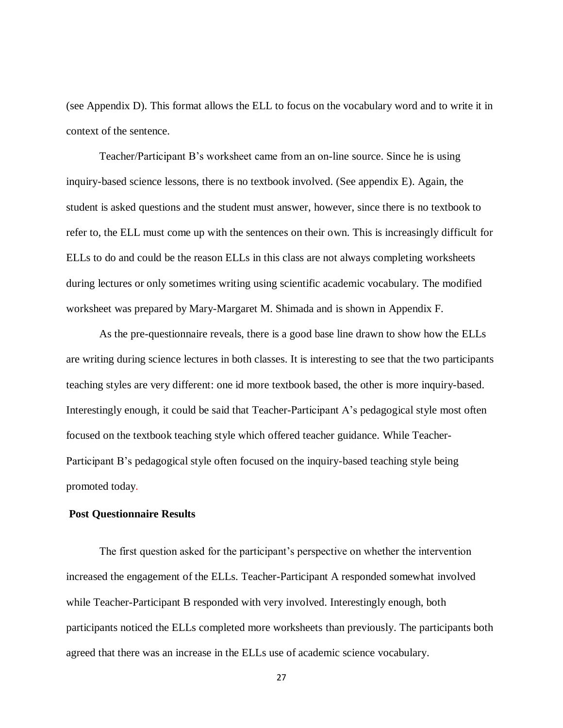(see Appendix D). This format allows the ELL to focus on the vocabulary word and to write it in context of the sentence.

Teacher/Participant B's worksheet came from an on-line source. Since he is using inquiry-based science lessons, there is no textbook involved. (See appendix E). Again, the student is asked questions and the student must answer, however, since there is no textbook to refer to, the ELL must come up with the sentences on their own. This is increasingly difficult for ELLs to do and could be the reason ELLs in this class are not always completing worksheets during lectures or only sometimes writing using scientific academic vocabulary. The modified worksheet was prepared by Mary-Margaret M. Shimada and is shown in Appendix F.

As the pre-questionnaire reveals, there is a good base line drawn to show how the ELLs are writing during science lectures in both classes. It is interesting to see that the two participants teaching styles are very different: one id more textbook based, the other is more inquiry-based. Interestingly enough, it could be said that Teacher-Participant A's pedagogical style most often focused on the textbook teaching style which offered teacher guidance. While Teacher-Participant B's pedagogical style often focused on the inquiry-based teaching style being promoted today.

#### <span id="page-33-0"></span>**Post Questionnaire Results**

The first question asked for the participant's perspective on whether the intervention increased the engagement of the ELLs. Teacher-Participant A responded somewhat involved while Teacher-Participant B responded with very involved. Interestingly enough, both participants noticed the ELLs completed more worksheets than previously. The participants both agreed that there was an increase in the ELLs use of academic science vocabulary.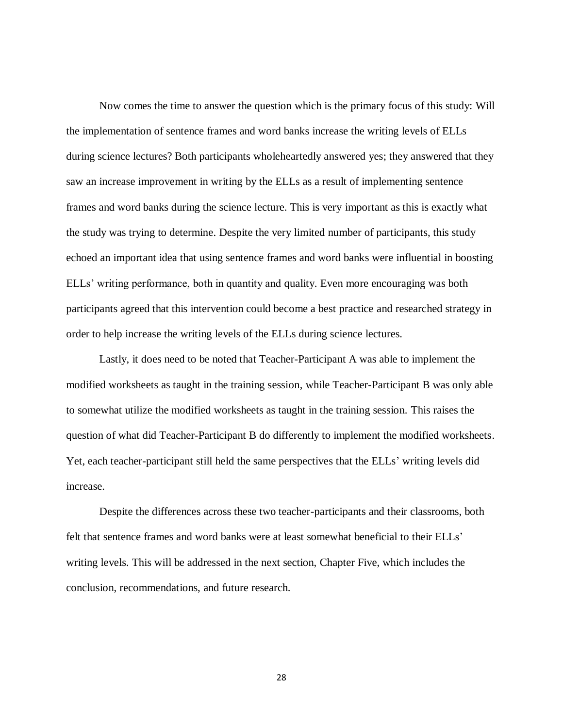Now comes the time to answer the question which is the primary focus of this study: Will the implementation of sentence frames and word banks increase the writing levels of ELLs during science lectures? Both participants wholeheartedly answered yes; they answered that they saw an increase improvement in writing by the ELLs as a result of implementing sentence frames and word banks during the science lecture. This is very important as this is exactly what the study was trying to determine. Despite the very limited number of participants, this study echoed an important idea that using sentence frames and word banks were influential in boosting ELLs' writing performance, both in quantity and quality. Even more encouraging was both participants agreed that this intervention could become a best practice and researched strategy in order to help increase the writing levels of the ELLs during science lectures.

Lastly, it does need to be noted that Teacher-Participant A was able to implement the modified worksheets as taught in the training session, while Teacher-Participant B was only able to somewhat utilize the modified worksheets as taught in the training session. This raises the question of what did Teacher-Participant B do differently to implement the modified worksheets. Yet, each teacher-participant still held the same perspectives that the ELLs' writing levels did increase.

Despite the differences across these two teacher-participants and their classrooms, both felt that sentence frames and word banks were at least somewhat beneficial to their ELLs' writing levels. This will be addressed in the next section, Chapter Five, which includes the conclusion, recommendations, and future research.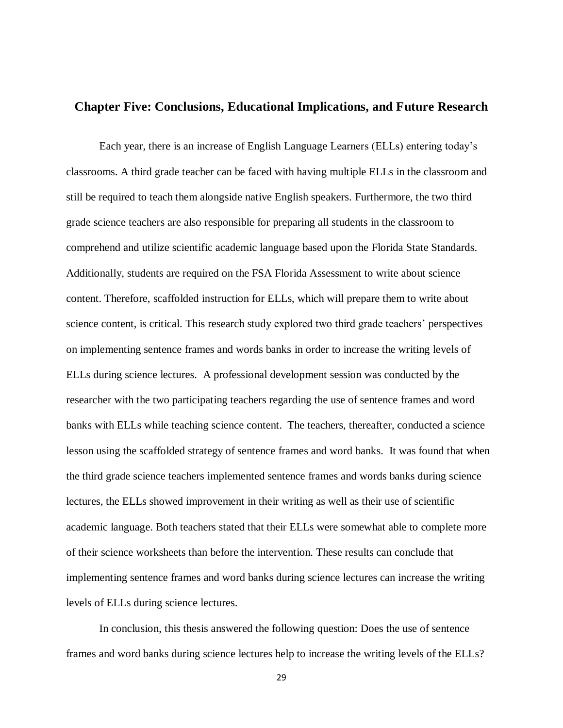## <span id="page-35-0"></span>**Chapter Five: Conclusions, Educational Implications, and Future Research**

Each year, there is an increase of English Language Learners (ELLs) entering today's classrooms. A third grade teacher can be faced with having multiple ELLs in the classroom and still be required to teach them alongside native English speakers. Furthermore, the two third grade science teachers are also responsible for preparing all students in the classroom to comprehend and utilize scientific academic language based upon the Florida State Standards. Additionally, students are required on the FSA Florida Assessment to write about science content. Therefore, scaffolded instruction for ELLs, which will prepare them to write about science content, is critical. This research study explored two third grade teachers' perspectives on implementing sentence frames and words banks in order to increase the writing levels of ELLs during science lectures. A professional development session was conducted by the researcher with the two participating teachers regarding the use of sentence frames and word banks with ELLs while teaching science content. The teachers, thereafter, conducted a science lesson using the scaffolded strategy of sentence frames and word banks. It was found that when the third grade science teachers implemented sentence frames and words banks during science lectures, the ELLs showed improvement in their writing as well as their use of scientific academic language. Both teachers stated that their ELLs were somewhat able to complete more of their science worksheets than before the intervention. These results can conclude that implementing sentence frames and word banks during science lectures can increase the writing levels of ELLs during science lectures.

In conclusion, this thesis answered the following question: Does the use of sentence frames and word banks during science lectures help to increase the writing levels of the ELLs?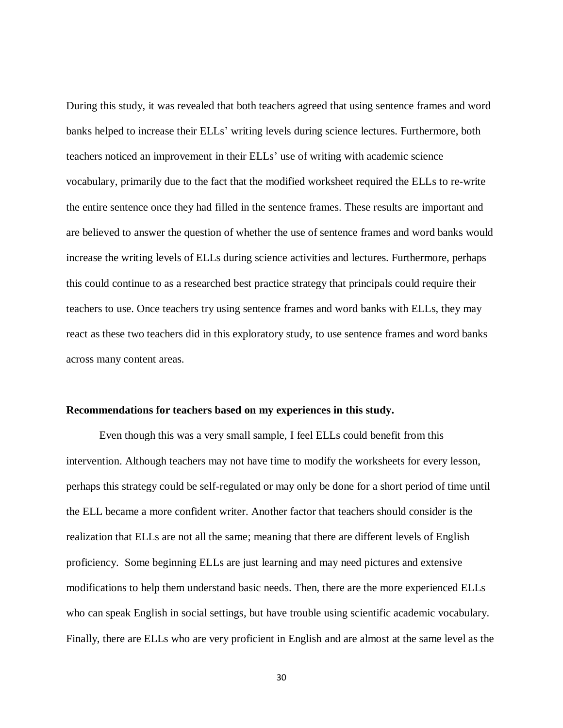During this study, it was revealed that both teachers agreed that using sentence frames and word banks helped to increase their ELLs' writing levels during science lectures. Furthermore, both teachers noticed an improvement in their ELLs' use of writing with academic science vocabulary, primarily due to the fact that the modified worksheet required the ELLs to re-write the entire sentence once they had filled in the sentence frames. These results are important and are believed to answer the question of whether the use of sentence frames and word banks would increase the writing levels of ELLs during science activities and lectures. Furthermore, perhaps this could continue to as a researched best practice strategy that principals could require their teachers to use. Once teachers try using sentence frames and word banks with ELLs, they may react as these two teachers did in this exploratory study, to use sentence frames and word banks across many content areas.

## <span id="page-36-0"></span>**Recommendations for teachers based on my experiences in this study.**

Even though this was a very small sample, I feel ELLs could benefit from this intervention. Although teachers may not have time to modify the worksheets for every lesson, perhaps this strategy could be self-regulated or may only be done for a short period of time until the ELL became a more confident writer. Another factor that teachers should consider is the realization that ELLs are not all the same; meaning that there are different levels of English proficiency. Some beginning ELLs are just learning and may need pictures and extensive modifications to help them understand basic needs. Then, there are the more experienced ELLs who can speak English in social settings, but have trouble using scientific academic vocabulary. Finally, there are ELLs who are very proficient in English and are almost at the same level as the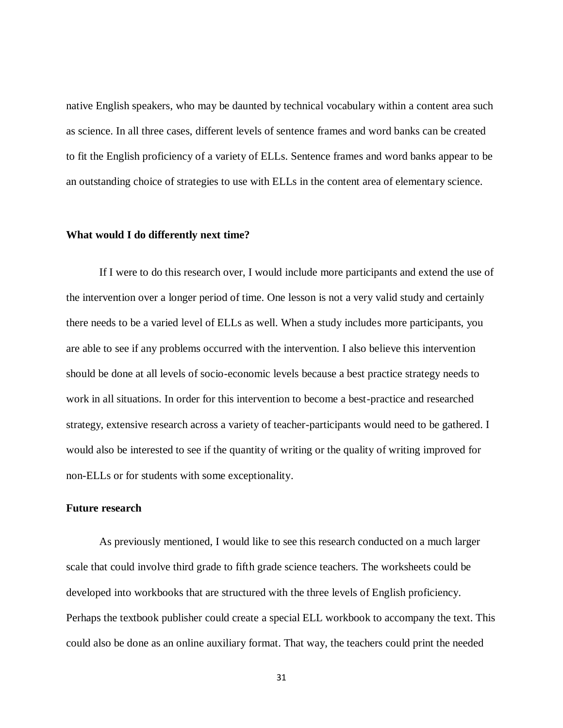native English speakers, who may be daunted by technical vocabulary within a content area such as science. In all three cases, different levels of sentence frames and word banks can be created to fit the English proficiency of a variety of ELLs. Sentence frames and word banks appear to be an outstanding choice of strategies to use with ELLs in the content area of elementary science.

#### <span id="page-37-0"></span>**What would I do differently next time?**

If I were to do this research over, I would include more participants and extend the use of the intervention over a longer period of time. One lesson is not a very valid study and certainly there needs to be a varied level of ELLs as well. When a study includes more participants, you are able to see if any problems occurred with the intervention. I also believe this intervention should be done at all levels of socio-economic levels because a best practice strategy needs to work in all situations. In order for this intervention to become a best-practice and researched strategy, extensive research across a variety of teacher-participants would need to be gathered. I would also be interested to see if the quantity of writing or the quality of writing improved for non-ELLs or for students with some exceptionality.

#### <span id="page-37-1"></span>**Future research**

As previously mentioned, I would like to see this research conducted on a much larger scale that could involve third grade to fifth grade science teachers. The worksheets could be developed into workbooks that are structured with the three levels of English proficiency. Perhaps the textbook publisher could create a special ELL workbook to accompany the text. This could also be done as an online auxiliary format. That way, the teachers could print the needed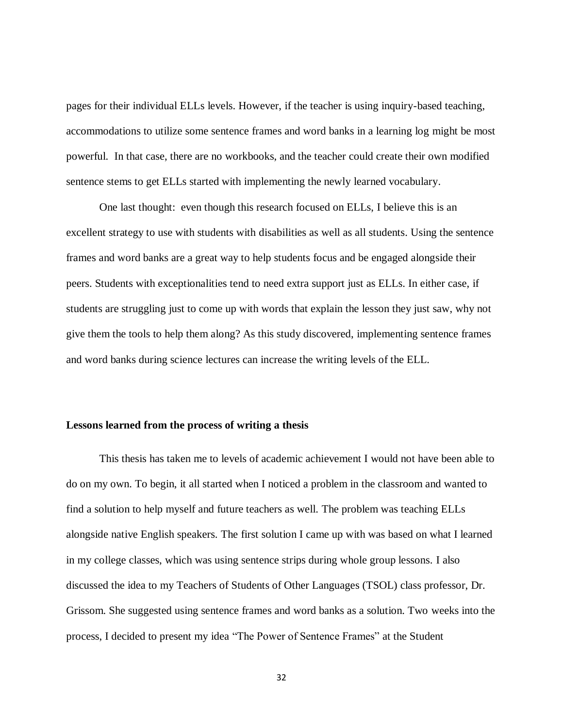pages for their individual ELLs levels. However, if the teacher is using inquiry-based teaching, accommodations to utilize some sentence frames and word banks in a learning log might be most powerful. In that case, there are no workbooks, and the teacher could create their own modified sentence stems to get ELLs started with implementing the newly learned vocabulary.

One last thought: even though this research focused on ELLs, I believe this is an excellent strategy to use with students with disabilities as well as all students. Using the sentence frames and word banks are a great way to help students focus and be engaged alongside their peers. Students with exceptionalities tend to need extra support just as ELLs. In either case, if students are struggling just to come up with words that explain the lesson they just saw, why not give them the tools to help them along? As this study discovered, implementing sentence frames and word banks during science lectures can increase the writing levels of the ELL.

## <span id="page-38-0"></span>**Lessons learned from the process of writing a thesis**

This thesis has taken me to levels of academic achievement I would not have been able to do on my own. To begin, it all started when I noticed a problem in the classroom and wanted to find a solution to help myself and future teachers as well. The problem was teaching ELLs alongside native English speakers. The first solution I came up with was based on what I learned in my college classes, which was using sentence strips during whole group lessons. I also discussed the idea to my Teachers of Students of Other Languages (TSOL) class professor, Dr. Grissom. She suggested using sentence frames and word banks as a solution. Two weeks into the process, I decided to present my idea "The Power of Sentence Frames" at the Student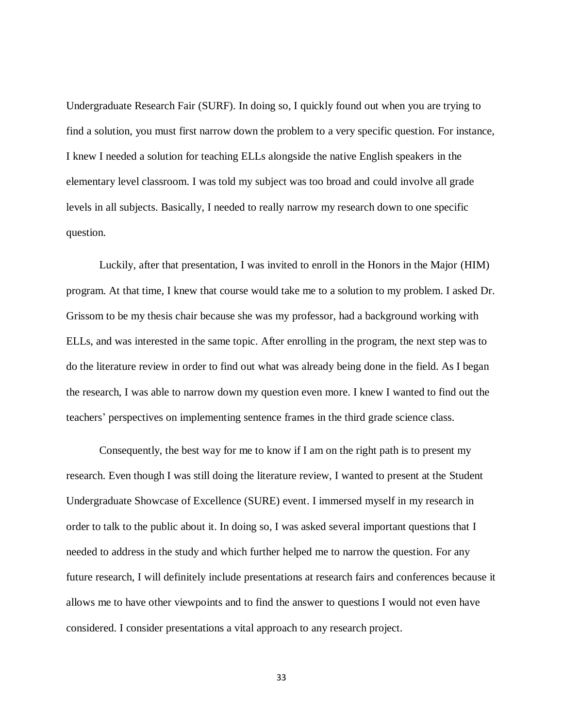Undergraduate Research Fair (SURF). In doing so, I quickly found out when you are trying to find a solution, you must first narrow down the problem to a very specific question. For instance, I knew I needed a solution for teaching ELLs alongside the native English speakers in the elementary level classroom. I was told my subject was too broad and could involve all grade levels in all subjects. Basically, I needed to really narrow my research down to one specific question.

Luckily, after that presentation, I was invited to enroll in the Honors in the Major (HIM) program. At that time, I knew that course would take me to a solution to my problem. I asked Dr. Grissom to be my thesis chair because she was my professor, had a background working with ELLs, and was interested in the same topic. After enrolling in the program, the next step was to do the literature review in order to find out what was already being done in the field. As I began the research, I was able to narrow down my question even more. I knew I wanted to find out the teachers' perspectives on implementing sentence frames in the third grade science class.

Consequently, the best way for me to know if I am on the right path is to present my research. Even though I was still doing the literature review, I wanted to present at the Student Undergraduate Showcase of Excellence (SURE) event. I immersed myself in my research in order to talk to the public about it. In doing so, I was asked several important questions that I needed to address in the study and which further helped me to narrow the question. For any future research, I will definitely include presentations at research fairs and conferences because it allows me to have other viewpoints and to find the answer to questions I would not even have considered. I consider presentations a vital approach to any research project.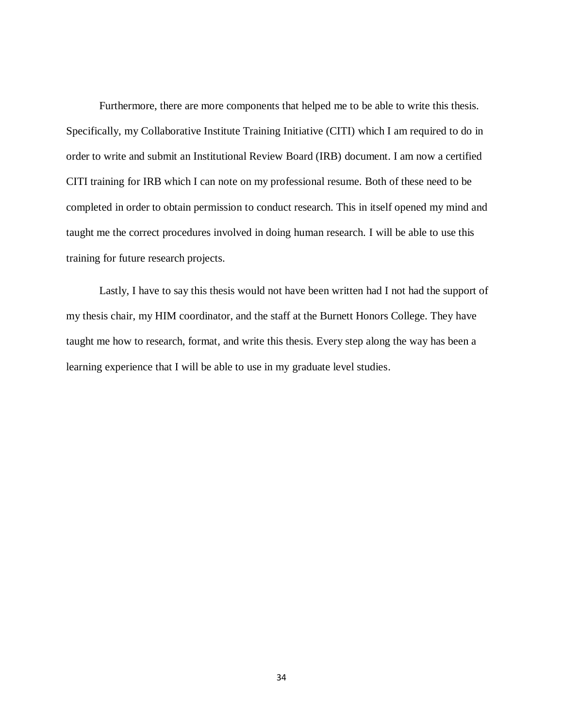Furthermore, there are more components that helped me to be able to write this thesis. Specifically, my Collaborative Institute Training Initiative (CITI) which I am required to do in order to write and submit an Institutional Review Board (IRB) document. I am now a certified CITI training for IRB which I can note on my professional resume. Both of these need to be completed in order to obtain permission to conduct research. This in itself opened my mind and taught me the correct procedures involved in doing human research. I will be able to use this training for future research projects.

Lastly, I have to say this thesis would not have been written had I not had the support of my thesis chair, my HIM coordinator, and the staff at the Burnett Honors College. They have taught me how to research, format, and write this thesis. Every step along the way has been a learning experience that I will be able to use in my graduate level studies.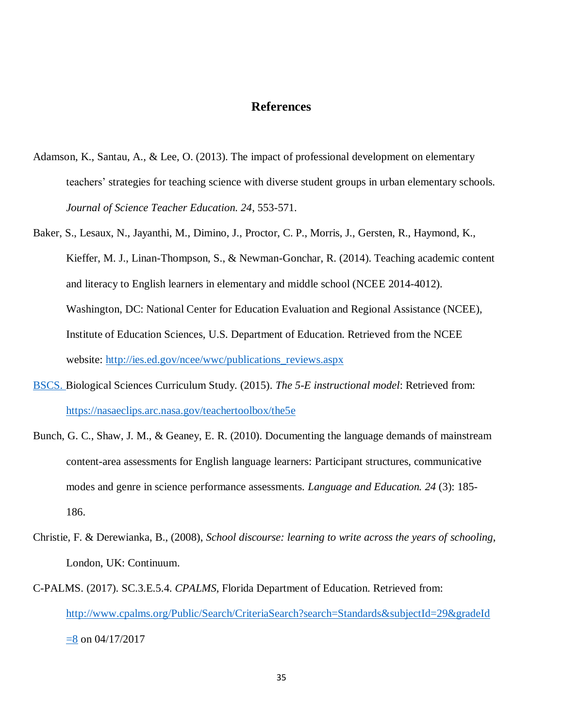## **References**

- <span id="page-41-0"></span>Adamson, K., Santau, A., & Lee, O. (2013). The impact of professional development on elementary teachers' strategies for teaching science with diverse student groups in urban elementary schools. *Journal of Science Teacher Education. 24*, 553-571.
- Baker, S., Lesaux, N., Jayanthi, M., Dimino, J., Proctor, C. P., Morris, J., Gersten, R., Haymond, K., Kieffer, M. J., Linan-Thompson, S., & Newman-Gonchar, R. (2014). Teaching academic content and literacy to English learners in elementary and middle school (NCEE 2014-4012). Washington, DC: National Center for Education Evaluation and Regional Assistance (NCEE), Institute of Education Sciences, U.S. Department of Education. Retrieved from the NCEE website: [http://ies.ed.gov/ncee/wwc/publications\\_reviews.aspx](http://ies.ed.gov/ncee/wwc/publications_reviews.aspx)
- BSCS. Biological Sciences Curriculum Study. (2015). *The 5-E instructional model*: Retrieved from: <https://nasaeclips.arc.nasa.gov/teachertoolbox/the5e>
- Bunch, G. C., Shaw, J. M., & Geaney, E. R. (2010). Documenting the language demands of mainstream content-area assessments for English language learners: Participant structures, communicative modes and genre in science performance assessments. *Language and Education. 24* (3): 185- 186.
- Christie, F. & Derewianka, B., (2008), *School discourse: learning to write across the years of schooling*, London, UK: Continuum.
- C-PALMS. (2017). SC.3.E.5.4. *CPALMS,* Florida Department of Education. Retrieved from: [http://www.cpalms.org/Public/Search/CriteriaSearch?search=Standards&subjectId=29&gradeId](http://www.cpalms.org/Public/Search/CriteriaSearch?search=Standards&subjectId=29&gradeId=8)  $\equiv$ 8 on 04/17/2017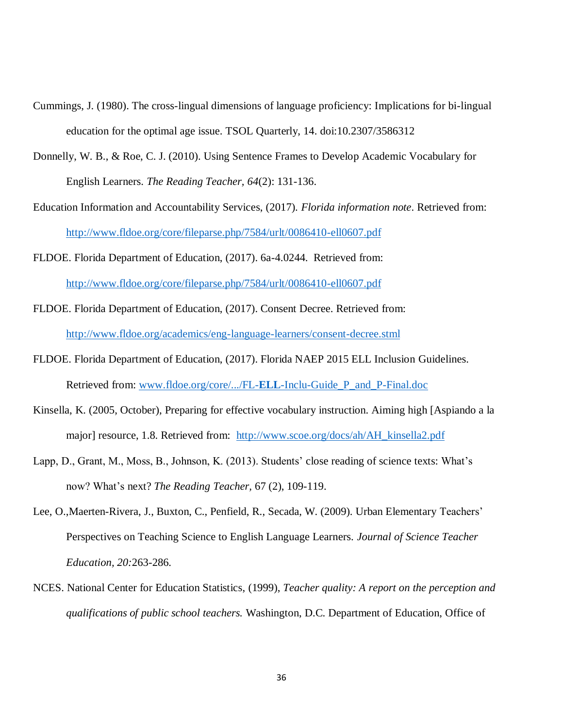- Cummings, J. (1980). The cross-lingual dimensions of language proficiency: Implications for bi-lingual education for the optimal age issue. TSOL Quarterly, 14. doi:10.2307/3586312
- Donnelly, W. B., & Roe, C. J. (2010). Using Sentence Frames to Develop Academic Vocabulary for English Learners. *The Reading Teacher, 64*(2): 131-136.
- Education Information and Accountability Services, (2017). *Florida information note*. Retrieved from: <http://www.fldoe.org/core/fileparse.php/7584/urlt/0086410-ell0607.pdf>
- FLDOE. Florida Department of Education, (2017). 6a-4.0244. Retrieved from: <http://www.fldoe.org/core/fileparse.php/7584/urlt/0086410-ell0607.pdf>
- FLDOE. Florida Department of Education, (2017). Consent Decree. Retrieved from: <http://www.fldoe.org/academics/eng-language-learners/consent-decree.stml>
- FLDOE. Florida Department of Education, (2017). Florida NAEP 2015 ELL Inclusion Guidelines. Retrieved from: www.fldoe.org/core/.../FL-**ELL**[-Inclu-Guide\\_P\\_and\\_P-Final.doc](http://www.fldoe.org/core/.../FL-ELL-Inclu-Guide_P_and_P-Final.doc)
- Kinsella, K. (2005, October), Preparing for effective vocabulary instruction. Aiming high [Aspiando a la major] resource, 1.8. Retrieved from: [http://www.scoe.org/docs/ah/AH\\_kinsella2.pdf](http://www.scoe.org/docs/ah/AH_kinsella2.pdf)
- Lapp, D., Grant, M., Moss, B., Johnson, K. (2013). Students' close reading of science texts: What's now? What's next? *The Reading Teacher,* 67 (2), 109-119.
- Lee, O.,Maerten-Rivera, J., Buxton, C., Penfield, R., Secada, W. (2009). Urban Elementary Teachers' Perspectives on Teaching Science to English Language Learners. *Journal of Science Teacher Education, 20:*263-286.
- NCES. National Center for Education Statistics, (1999), *Teacher quality: A report on the perception and qualifications of public school teachers.* Washington, D.C. Department of Education, Office of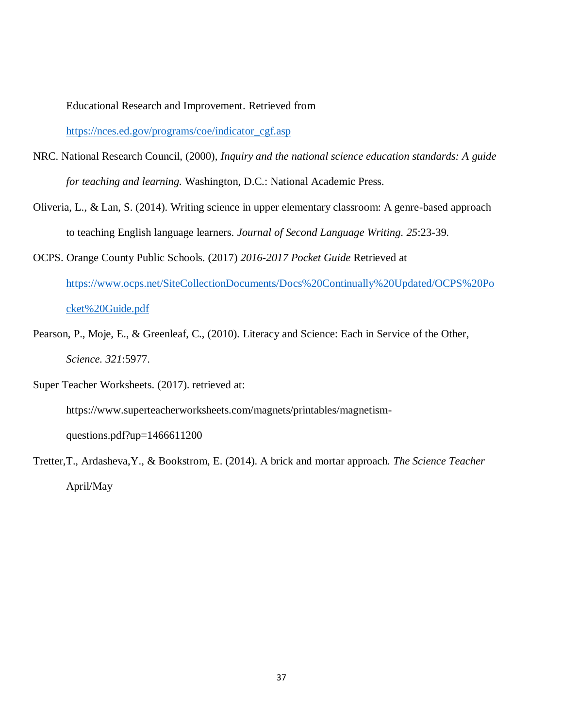Educational Research and Improvement. Retrieved from

[https://nces.ed.gov/programs/coe/indicator\\_cgf.asp](https://nces.ed.gov/programs/coe/indicator_cgf.asp)

- NRC. National Research Council, (2000), *Inquiry and the national science education standards: A guide for teaching and learning.* Washington, D.C.: National Academic Press.
- Oliveria, L., & Lan, S. (2014). Writing science in upper elementary classroom: A genre-based approach to teaching English language learners. *Journal of Second Language Writing. 25*:23-39.
- OCPS. Orange County Public Schools. (2017) *2016-2017 Pocket Guide* Retrieved at [https://www.ocps.net/SiteCollectionDocuments/Docs%20Continually%20Updated/OCPS%20Po](https://www.ocps.net/SiteCollectionDocuments/Docs%20Continually%20Updated/OCPS%20Pocket%20Guide.pdf) [cket%20Guide.pdf](https://www.ocps.net/SiteCollectionDocuments/Docs%20Continually%20Updated/OCPS%20Pocket%20Guide.pdf)
- Pearson, P., Moje, E., & Greenleaf, C., (2010). Literacy and Science: Each in Service of the Other, *Science. 321*:5977.
- Super Teacher Worksheets. (2017). retrieved at: https://www.superteacherworksheets.com/magnets/printables/magnetismquestions.pdf?up=1466611200
- Tretter,T., Ardasheva,Y., & Bookstrom, E. (2014). A brick and mortar approach*. The Science Teacher* April/May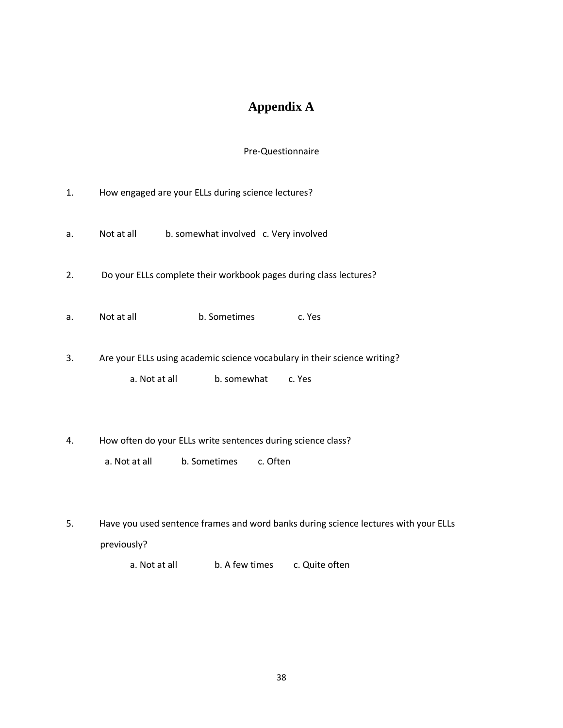# **Appendix A**

## Pre-Questionnaire

<span id="page-44-0"></span>

| 1. | How engaged are your ELLs during science lectures?                                                                  |
|----|---------------------------------------------------------------------------------------------------------------------|
| a. | b. somewhat involved c. Very involved<br>Not at all                                                                 |
| 2. | Do your ELLs complete their workbook pages during class lectures?                                                   |
| a. | Not at all<br>b. Sometimes<br>c. Yes                                                                                |
| 3. | Are your ELLs using academic science vocabulary in their science writing?<br>b. somewhat<br>a. Not at all<br>c. Yes |
| 4. | How often do your ELLs write sentences during science class?<br>a. Not at all<br>b. Sometimes<br>c. Often           |
| 5. | Have you used sentence frames and word banks during science lectures with your ELLs<br>previously?                  |

a. Not at all b. A few times c. Quite often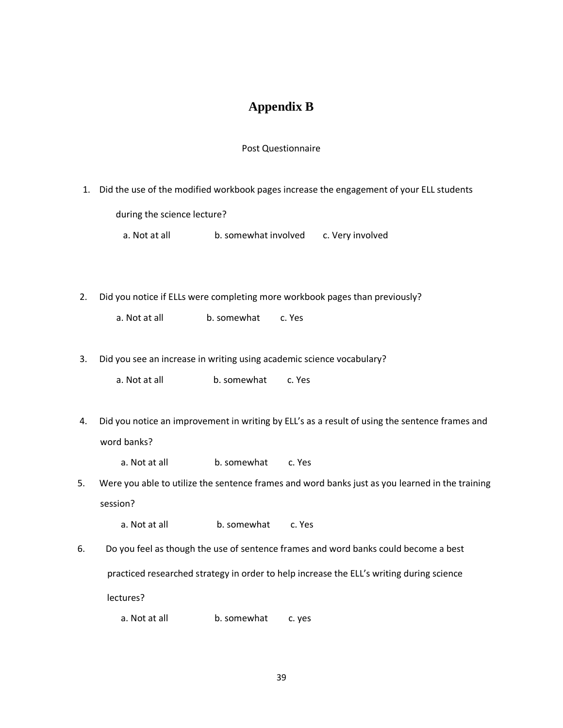## **Appendix B**

## Post Questionnaire

<span id="page-45-0"></span>1. Did the use of the modified workbook pages increase the engagement of your ELL students

during the science lecture?

a. Not at all b. somewhat involved c. Very involved

2. Did you notice if ELLs were completing more workbook pages than previously?

a. Not at all b. somewhat c. Yes

3. Did you see an increase in writing using academic science vocabulary?

a. Not at all b. somewhat c. Yes

- 4. Did you notice an improvement in writing by ELL's as a result of using the sentence frames and word banks?
	- a. Not at all b. somewhat c. Yes
- 5. Were you able to utilize the sentence frames and word banks just as you learned in the training session?
	- a. Not at all b. somewhat c. Yes
- 6. Do you feel as though the use of sentence frames and word banks could become a best practiced researched strategy in order to help increase the ELL's writing during science lectures?
	- a. Not at all b. somewhat c. yes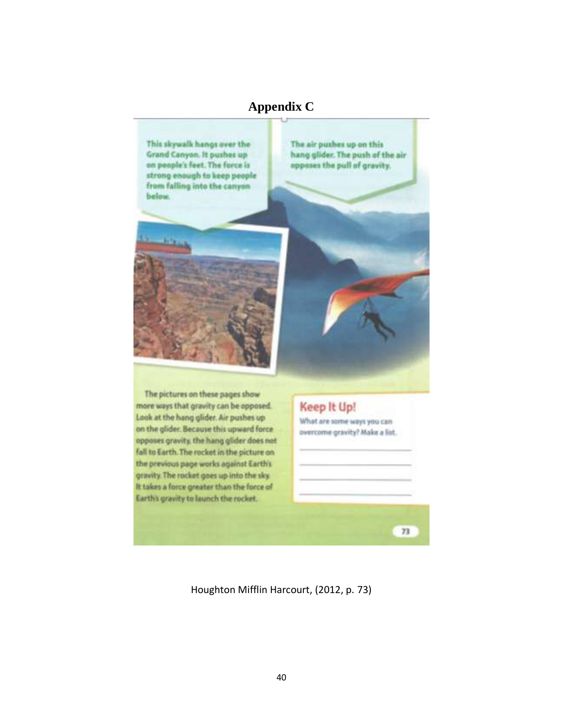## **Appendix C**

<span id="page-46-0"></span>

Houghton Mifflin Harcourt, (2012, p. 73)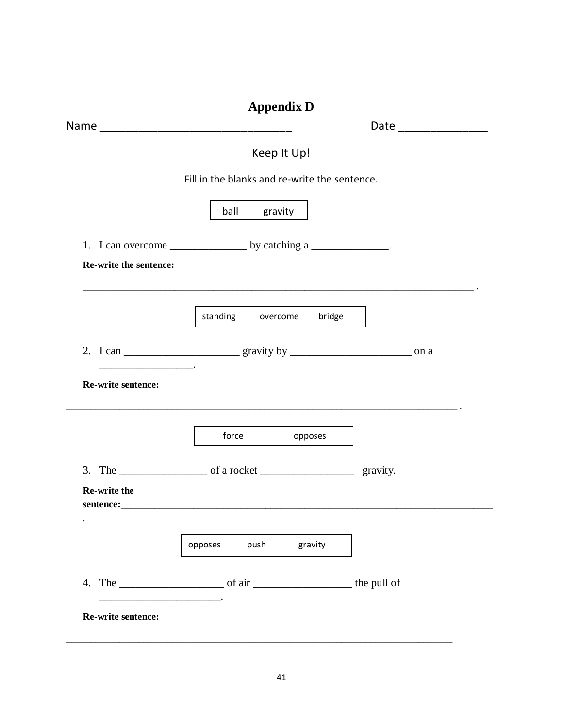<span id="page-47-0"></span>

|                           | <b>Appendix D</b>                             |  |
|---------------------------|-----------------------------------------------|--|
|                           |                                               |  |
|                           | Keep It Up!                                   |  |
|                           | Fill in the blanks and re-write the sentence. |  |
|                           | ball gravity                                  |  |
|                           |                                               |  |
| Re-write the sentence:    |                                               |  |
|                           |                                               |  |
|                           | standing overcome bridge                      |  |
|                           |                                               |  |
| Re-write sentence:        |                                               |  |
|                           | force opposes                                 |  |
|                           |                                               |  |
| Re-write the<br>sentence: |                                               |  |
|                           |                                               |  |
|                           | push gravity<br>opposes                       |  |
|                           |                                               |  |
| Re-write sentence:        |                                               |  |
|                           |                                               |  |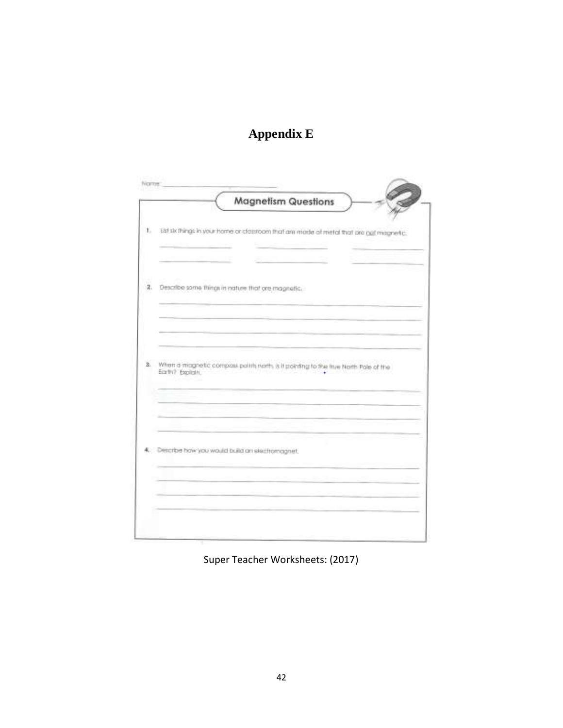# **Appendix E**

<span id="page-48-0"></span>

|              | <b>Magnetism Questions</b>                                                                                                                                              |
|--------------|-------------------------------------------------------------------------------------------------------------------------------------------------------------------------|
| 1.           | Eld skiftlings in your home or classroom that are mode all metal that are call magnetic.                                                                                |
|              |                                                                                                                                                                         |
| 2.           | Describe some things in nature that ore magnetic.                                                                                                                       |
|              |                                                                                                                                                                         |
|              |                                                                                                                                                                         |
| $\mathbf{z}$ | When a magnetic compass points north, is it pointing to the tow North Pole of the<br>Earth? Explising<br>생산에 행하고 하는 10의 100 전 전 사람들은 한 번 가수를 사장을 보았다. 이웃기<br>Common Tax |
|              |                                                                                                                                                                         |
|              |                                                                                                                                                                         |
|              | Describe haw you would build an electromagnet.                                                                                                                          |
|              |                                                                                                                                                                         |
|              |                                                                                                                                                                         |

Super Teacher Worksheets: (2017)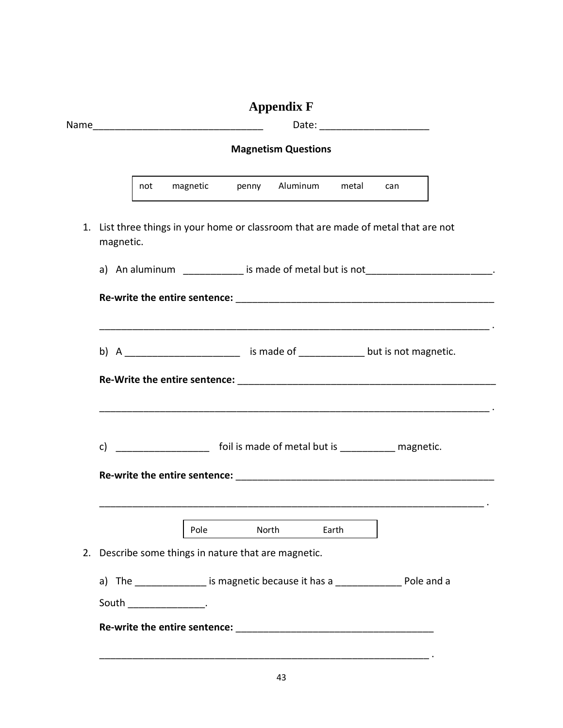<span id="page-49-0"></span>

|                                                                                                 |      |       | <b>Appendix F</b>             |       |     |  |  |
|-------------------------------------------------------------------------------------------------|------|-------|-------------------------------|-------|-----|--|--|
| <b>Magnetism Questions</b>                                                                      |      |       |                               |       |     |  |  |
|                                                                                                 |      |       |                               |       |     |  |  |
| not                                                                                             |      |       | magnetic penny Aluminum metal |       | can |  |  |
| 1. List three things in your home or classroom that are made of metal that are not<br>magnetic. |      |       |                               |       |     |  |  |
| a) An aluminum ____________ is made of metal but is not ________________________.               |      |       |                               |       |     |  |  |
|                                                                                                 |      |       |                               |       |     |  |  |
|                                                                                                 |      |       |                               |       |     |  |  |
| b) A ___________________________ is made of ______________ but is not magnetic.                 |      |       |                               |       |     |  |  |
|                                                                                                 |      |       |                               |       |     |  |  |
|                                                                                                 |      |       |                               |       |     |  |  |
|                                                                                                 |      |       |                               |       |     |  |  |
|                                                                                                 |      |       |                               |       |     |  |  |
| c) _____________________ foil is made of metal but is ____________ magnetic.                    |      |       |                               |       |     |  |  |
|                                                                                                 |      |       |                               |       |     |  |  |
|                                                                                                 |      |       |                               |       |     |  |  |
|                                                                                                 | Pole | North |                               | Earth |     |  |  |
|                                                                                                 |      |       |                               |       |     |  |  |
| 2. Describe some things in nature that are magnetic.                                            |      |       |                               |       |     |  |  |
| a) The _______________ is magnetic because it has a _________________ Pole and a                |      |       |                               |       |     |  |  |
|                                                                                                 |      |       |                               |       |     |  |  |
| South ________________________.                                                                 |      |       |                               |       |     |  |  |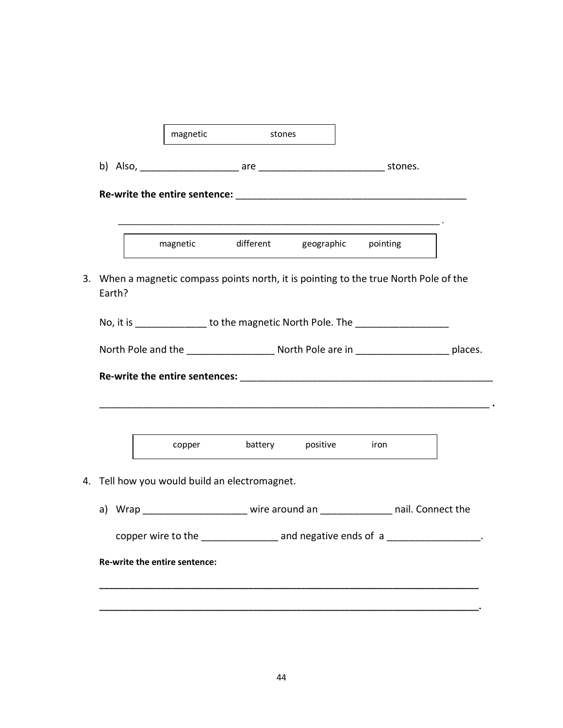|        |                                               | magnetic stones |                                        |                                                                                                   |  |
|--------|-----------------------------------------------|-----------------|----------------------------------------|---------------------------------------------------------------------------------------------------|--|
|        |                                               |                 |                                        |                                                                                                   |  |
|        |                                               |                 |                                        |                                                                                                   |  |
|        |                                               |                 | magnetic different geographic pointing |                                                                                                   |  |
| Earth? |                                               |                 |                                        | 3. When a magnetic compass points north, it is pointing to the true North Pole of the             |  |
|        |                                               |                 |                                        | No, it is _______________ to the magnetic North Pole. The ______________________                  |  |
|        |                                               |                 |                                        | North Pole and the __________________________ North Pole are in __________________________places. |  |
|        |                                               |                 |                                        |                                                                                                   |  |
|        |                                               |                 |                                        |                                                                                                   |  |
|        |                                               |                 | copper battery positive iron           |                                                                                                   |  |
|        | 4. Tell how you would build an electromagnet. |                 |                                        |                                                                                                   |  |
|        |                                               |                 |                                        | a) Wrap ______________________ wire around an _______________ nail. Connect the                   |  |
|        |                                               |                 |                                        | copper wire to the ________________ and negative ends of a __________________.                    |  |